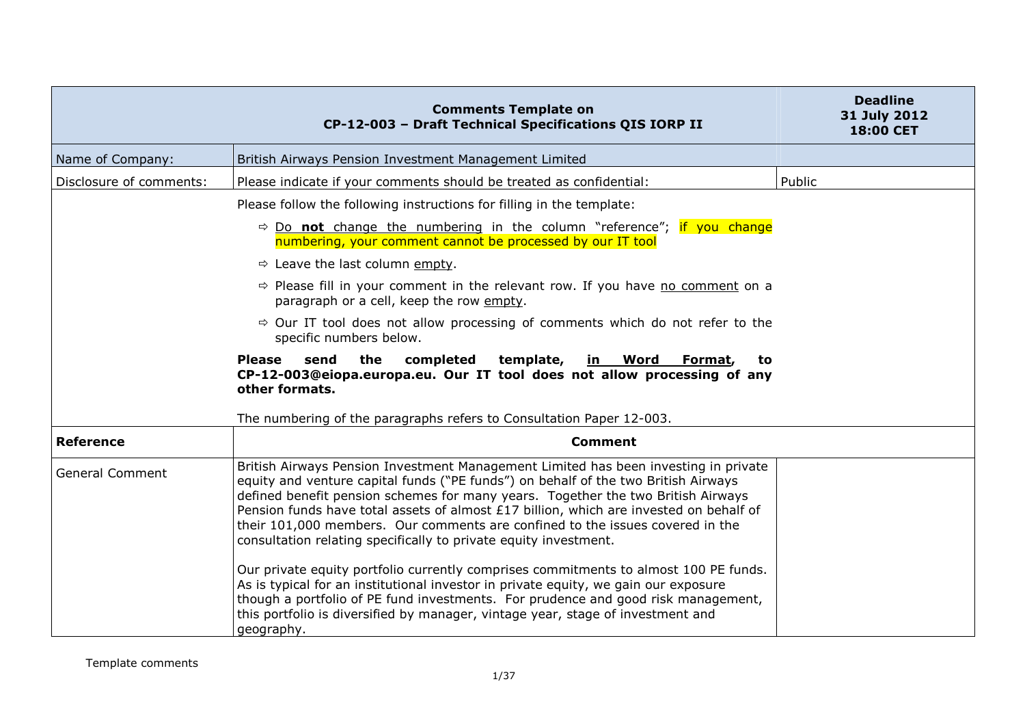|                         | <b>Comments Template on</b><br>CP-12-003 - Draft Technical Specifications QIS IORP II                                                                                                                                                                                                                                                                                                                                                                                                                        | <b>Deadline</b><br>31 July 2012<br>18:00 CET |
|-------------------------|--------------------------------------------------------------------------------------------------------------------------------------------------------------------------------------------------------------------------------------------------------------------------------------------------------------------------------------------------------------------------------------------------------------------------------------------------------------------------------------------------------------|----------------------------------------------|
| Name of Company:        | British Airways Pension Investment Management Limited                                                                                                                                                                                                                                                                                                                                                                                                                                                        |                                              |
| Disclosure of comments: | Please indicate if your comments should be treated as confidential:                                                                                                                                                                                                                                                                                                                                                                                                                                          | Public                                       |
|                         | Please follow the following instructions for filling in the template:                                                                                                                                                                                                                                                                                                                                                                                                                                        |                                              |
|                         | $\Rightarrow$ Do not change the numbering in the column "reference"; if you change<br>numbering, your comment cannot be processed by our IT tool                                                                                                                                                                                                                                                                                                                                                             |                                              |
|                         | $\Rightarrow$ Leave the last column empty.                                                                                                                                                                                                                                                                                                                                                                                                                                                                   |                                              |
|                         | $\Rightarrow$ Please fill in your comment in the relevant row. If you have no comment on a<br>paragraph or a cell, keep the row empty.                                                                                                                                                                                                                                                                                                                                                                       |                                              |
|                         | $\Rightarrow$ Our IT tool does not allow processing of comments which do not refer to the<br>specific numbers below.                                                                                                                                                                                                                                                                                                                                                                                         |                                              |
|                         | send<br>the<br>completed<br>template,<br><u>in Word</u><br><b>Please</b><br>Format,<br>to<br>CP-12-003@eiopa.europa.eu. Our IT tool does not allow processing of any<br>other formats.                                                                                                                                                                                                                                                                                                                       |                                              |
|                         | The numbering of the paragraphs refers to Consultation Paper 12-003.                                                                                                                                                                                                                                                                                                                                                                                                                                         |                                              |
| <b>Reference</b>        | <b>Comment</b>                                                                                                                                                                                                                                                                                                                                                                                                                                                                                               |                                              |
| <b>General Comment</b>  | British Airways Pension Investment Management Limited has been investing in private<br>equity and venture capital funds ("PE funds") on behalf of the two British Airways<br>defined benefit pension schemes for many years. Together the two British Airways<br>Pension funds have total assets of almost £17 billion, which are invested on behalf of<br>their 101,000 members. Our comments are confined to the issues covered in the<br>consultation relating specifically to private equity investment. |                                              |
|                         | Our private equity portfolio currently comprises commitments to almost 100 PE funds.<br>As is typical for an institutional investor in private equity, we gain our exposure<br>though a portfolio of PE fund investments. For prudence and good risk management,<br>this portfolio is diversified by manager, vintage year, stage of investment and<br>geography.                                                                                                                                            |                                              |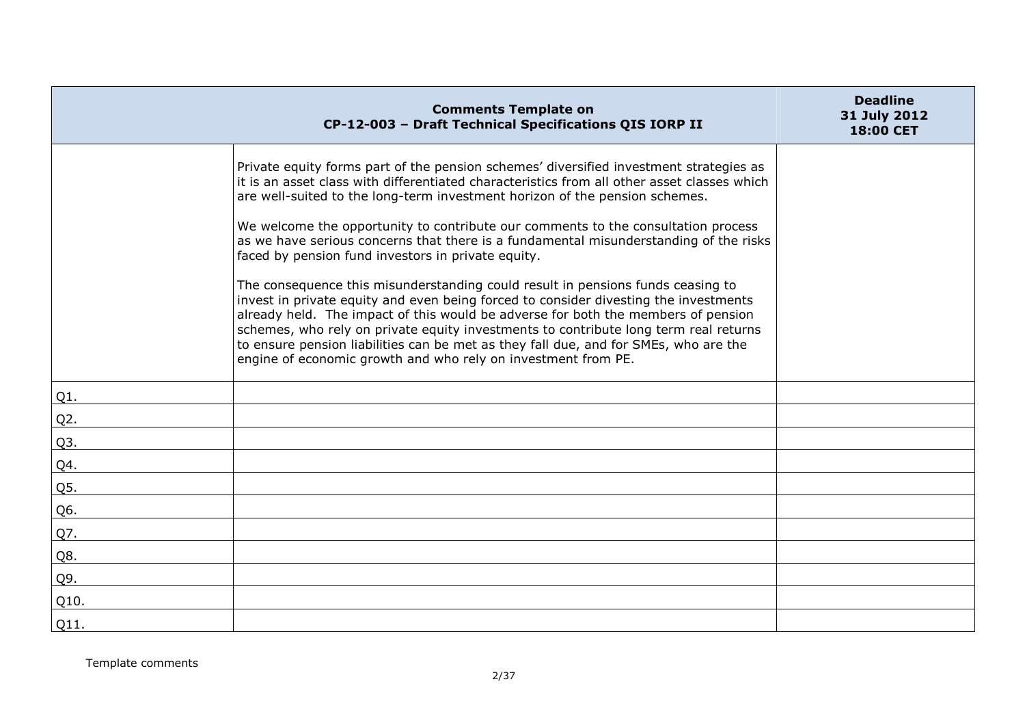|        | <b>Comments Template on</b><br>CP-12-003 - Draft Technical Specifications QIS IORP II                                                                                                                                                                                                                                                                                                                                                                                                                                                                                                                                                                                               | <b>Deadline</b><br>31 July 2012<br>18:00 CET |
|--------|-------------------------------------------------------------------------------------------------------------------------------------------------------------------------------------------------------------------------------------------------------------------------------------------------------------------------------------------------------------------------------------------------------------------------------------------------------------------------------------------------------------------------------------------------------------------------------------------------------------------------------------------------------------------------------------|----------------------------------------------|
|        | Private equity forms part of the pension schemes' diversified investment strategies as<br>it is an asset class with differentiated characteristics from all other asset classes which<br>are well-suited to the long-term investment horizon of the pension schemes.<br>We welcome the opportunity to contribute our comments to the consultation process<br>as we have serious concerns that there is a fundamental misunderstanding of the risks<br>faced by pension fund investors in private equity.<br>The consequence this misunderstanding could result in pensions funds ceasing to<br>invest in private equity and even being forced to consider divesting the investments |                                              |
|        | already held. The impact of this would be adverse for both the members of pension<br>schemes, who rely on private equity investments to contribute long term real returns<br>to ensure pension liabilities can be met as they fall due, and for SMEs, who are the<br>engine of economic growth and who rely on investment from PE.                                                                                                                                                                                                                                                                                                                                                  |                                              |
| Q1.    |                                                                                                                                                                                                                                                                                                                                                                                                                                                                                                                                                                                                                                                                                     |                                              |
| $Q2$ . |                                                                                                                                                                                                                                                                                                                                                                                                                                                                                                                                                                                                                                                                                     |                                              |
| Q3.    |                                                                                                                                                                                                                                                                                                                                                                                                                                                                                                                                                                                                                                                                                     |                                              |
| Q4.    |                                                                                                                                                                                                                                                                                                                                                                                                                                                                                                                                                                                                                                                                                     |                                              |
| Q5.    |                                                                                                                                                                                                                                                                                                                                                                                                                                                                                                                                                                                                                                                                                     |                                              |
| Q6.    |                                                                                                                                                                                                                                                                                                                                                                                                                                                                                                                                                                                                                                                                                     |                                              |
| Q7.    |                                                                                                                                                                                                                                                                                                                                                                                                                                                                                                                                                                                                                                                                                     |                                              |
| Q8.    |                                                                                                                                                                                                                                                                                                                                                                                                                                                                                                                                                                                                                                                                                     |                                              |
| Q9.    |                                                                                                                                                                                                                                                                                                                                                                                                                                                                                                                                                                                                                                                                                     |                                              |
| Q10.   |                                                                                                                                                                                                                                                                                                                                                                                                                                                                                                                                                                                                                                                                                     |                                              |
| Q11.   |                                                                                                                                                                                                                                                                                                                                                                                                                                                                                                                                                                                                                                                                                     |                                              |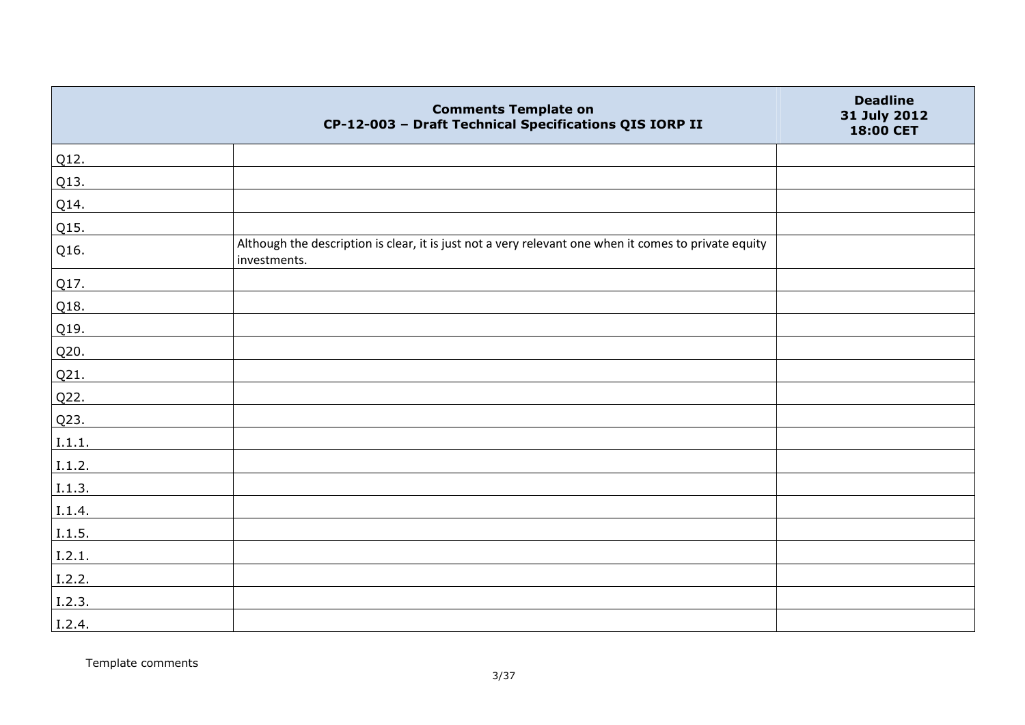|        | <b>Comments Template on</b><br>CP-12-003 - Draft Technical Specifications QIS IORP II                                 | <b>Deadline</b><br>31 July 2012<br>18:00 CET |
|--------|-----------------------------------------------------------------------------------------------------------------------|----------------------------------------------|
| Q12.   |                                                                                                                       |                                              |
| Q13.   |                                                                                                                       |                                              |
| Q14.   |                                                                                                                       |                                              |
| Q15.   |                                                                                                                       |                                              |
| Q16.   | Although the description is clear, it is just not a very relevant one when it comes to private equity<br>investments. |                                              |
| Q17.   |                                                                                                                       |                                              |
| Q18.   |                                                                                                                       |                                              |
| Q19.   |                                                                                                                       |                                              |
| Q20.   |                                                                                                                       |                                              |
| Q21.   |                                                                                                                       |                                              |
| Q22.   |                                                                                                                       |                                              |
| Q23.   |                                                                                                                       |                                              |
| I.1.1. |                                                                                                                       |                                              |
| I.1.2. |                                                                                                                       |                                              |
| I.1.3. |                                                                                                                       |                                              |
| I.1.4. |                                                                                                                       |                                              |
| I.1.5. |                                                                                                                       |                                              |
| I.2.1. |                                                                                                                       |                                              |
| I.2.2. |                                                                                                                       |                                              |
| I.2.3. |                                                                                                                       |                                              |
| I.2.4. |                                                                                                                       |                                              |

Template comments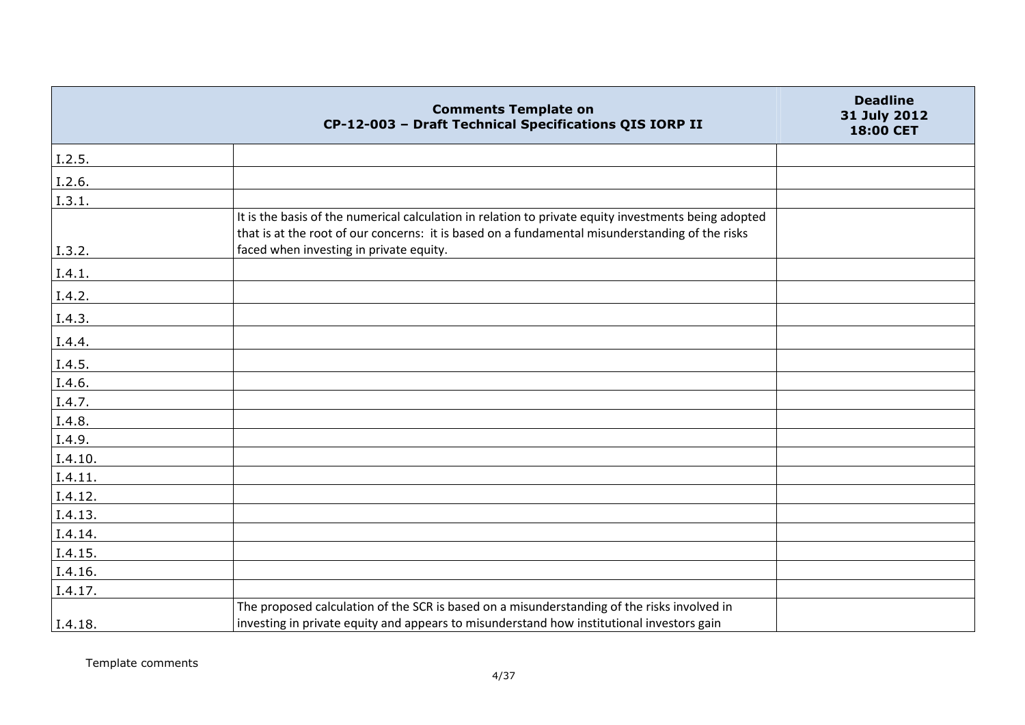|         | <b>Comments Template on</b><br>CP-12-003 - Draft Technical Specifications QIS IORP II                                                                                                                                                              | <b>Deadline</b><br>31 July 2012<br>18:00 CET |
|---------|----------------------------------------------------------------------------------------------------------------------------------------------------------------------------------------------------------------------------------------------------|----------------------------------------------|
| I.2.5.  |                                                                                                                                                                                                                                                    |                                              |
| I.2.6.  |                                                                                                                                                                                                                                                    |                                              |
| I.3.1.  |                                                                                                                                                                                                                                                    |                                              |
| I.3.2.  | It is the basis of the numerical calculation in relation to private equity investments being adopted<br>that is at the root of our concerns: it is based on a fundamental misunderstanding of the risks<br>faced when investing in private equity. |                                              |
| I.4.1.  |                                                                                                                                                                                                                                                    |                                              |
| I.4.2.  |                                                                                                                                                                                                                                                    |                                              |
| I.4.3.  |                                                                                                                                                                                                                                                    |                                              |
| I.4.4.  |                                                                                                                                                                                                                                                    |                                              |
| I.4.5.  |                                                                                                                                                                                                                                                    |                                              |
| I.4.6.  |                                                                                                                                                                                                                                                    |                                              |
| I.4.7.  |                                                                                                                                                                                                                                                    |                                              |
| I.4.8.  |                                                                                                                                                                                                                                                    |                                              |
| I.4.9.  |                                                                                                                                                                                                                                                    |                                              |
| I.4.10. |                                                                                                                                                                                                                                                    |                                              |
| I.4.11. |                                                                                                                                                                                                                                                    |                                              |
| I.4.12. |                                                                                                                                                                                                                                                    |                                              |
| I.4.13. |                                                                                                                                                                                                                                                    |                                              |
| I.4.14. |                                                                                                                                                                                                                                                    |                                              |
| I.4.15. |                                                                                                                                                                                                                                                    |                                              |
| I.4.16. |                                                                                                                                                                                                                                                    |                                              |
| I.4.17. |                                                                                                                                                                                                                                                    |                                              |
| I.4.18. | The proposed calculation of the SCR is based on a misunderstanding of the risks involved in<br>investing in private equity and appears to misunderstand how institutional investors gain                                                           |                                              |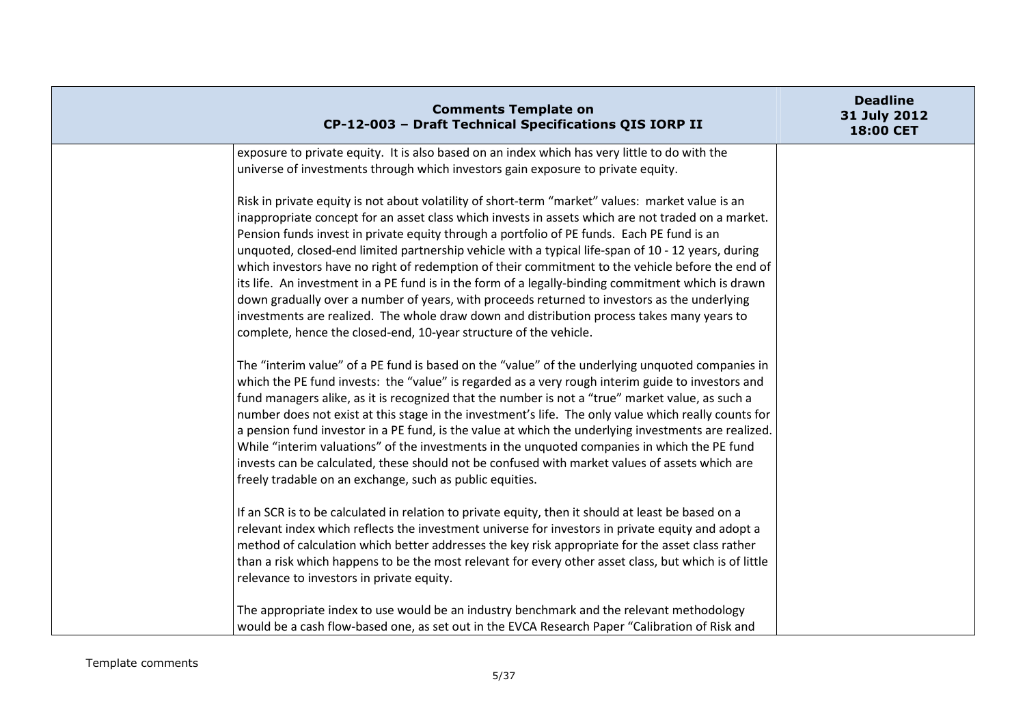| <b>Comments Template on</b><br>CP-12-003 - Draft Technical Specifications QIS IORP II                                                                                                                                                                                                                                                                                                                                                                                                                                                                                                                                                                                                                                                                                                                                                                                                   | <b>Deadline</b><br>31 July 2012<br>18:00 CET |
|-----------------------------------------------------------------------------------------------------------------------------------------------------------------------------------------------------------------------------------------------------------------------------------------------------------------------------------------------------------------------------------------------------------------------------------------------------------------------------------------------------------------------------------------------------------------------------------------------------------------------------------------------------------------------------------------------------------------------------------------------------------------------------------------------------------------------------------------------------------------------------------------|----------------------------------------------|
| exposure to private equity. It is also based on an index which has very little to do with the<br>universe of investments through which investors gain exposure to private equity.                                                                                                                                                                                                                                                                                                                                                                                                                                                                                                                                                                                                                                                                                                       |                                              |
| Risk in private equity is not about volatility of short-term "market" values: market value is an<br>inappropriate concept for an asset class which invests in assets which are not traded on a market.<br>Pension funds invest in private equity through a portfolio of PE funds. Each PE fund is an<br>unquoted, closed-end limited partnership vehicle with a typical life-span of 10 - 12 years, during<br>which investors have no right of redemption of their commitment to the vehicle before the end of<br>its life. An investment in a PE fund is in the form of a legally-binding commitment which is drawn<br>down gradually over a number of years, with proceeds returned to investors as the underlying<br>investments are realized. The whole draw down and distribution process takes many years to<br>complete, hence the closed-end, 10-year structure of the vehicle. |                                              |
| The "interim value" of a PE fund is based on the "value" of the underlying unquoted companies in<br>which the PE fund invests: the "value" is regarded as a very rough interim guide to investors and<br>fund managers alike, as it is recognized that the number is not a "true" market value, as such a<br>number does not exist at this stage in the investment's life. The only value which really counts for<br>a pension fund investor in a PE fund, is the value at which the underlying investments are realized.<br>While "interim valuations" of the investments in the unquoted companies in which the PE fund<br>invests can be calculated, these should not be confused with market values of assets which are<br>freely tradable on an exchange, such as public equities.                                                                                                 |                                              |
| If an SCR is to be calculated in relation to private equity, then it should at least be based on a<br>relevant index which reflects the investment universe for investors in private equity and adopt a<br>method of calculation which better addresses the key risk appropriate for the asset class rather<br>than a risk which happens to be the most relevant for every other asset class, but which is of little<br>relevance to investors in private equity.<br>The appropriate index to use would be an industry benchmark and the relevant methodology                                                                                                                                                                                                                                                                                                                           |                                              |
| would be a cash flow-based one, as set out in the EVCA Research Paper "Calibration of Risk and                                                                                                                                                                                                                                                                                                                                                                                                                                                                                                                                                                                                                                                                                                                                                                                          |                                              |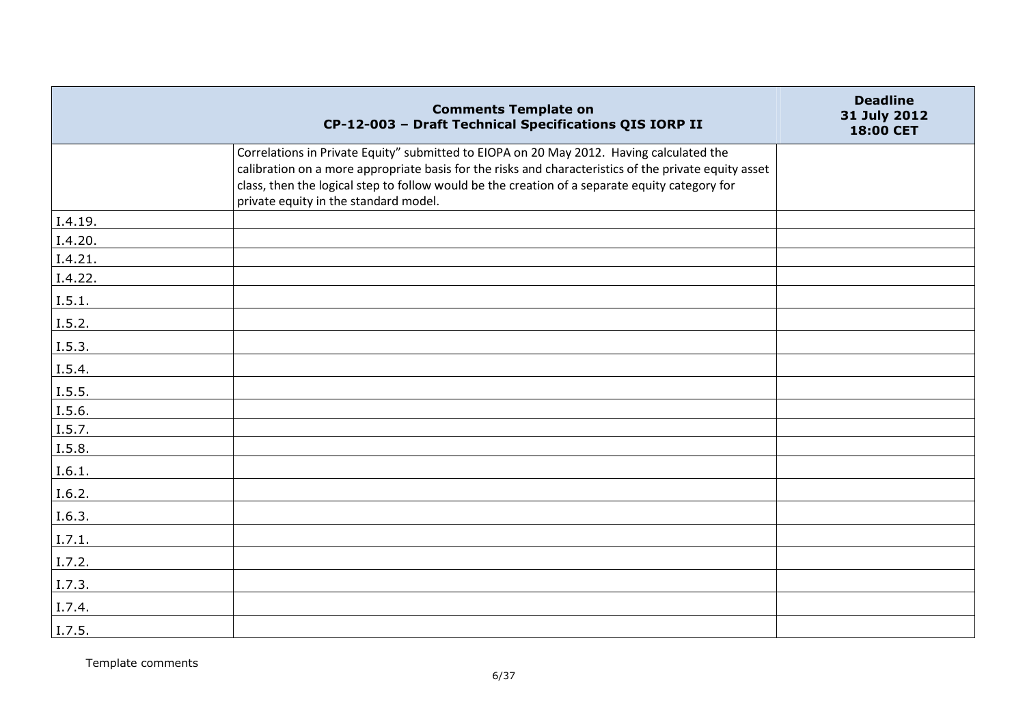|         | <b>Comments Template on</b><br>CP-12-003 - Draft Technical Specifications QIS IORP II                                                                                                                                                                                                                                                        | <b>Deadline</b><br>31 July 2012<br>18:00 CET |
|---------|----------------------------------------------------------------------------------------------------------------------------------------------------------------------------------------------------------------------------------------------------------------------------------------------------------------------------------------------|----------------------------------------------|
|         | Correlations in Private Equity" submitted to EIOPA on 20 May 2012. Having calculated the<br>calibration on a more appropriate basis for the risks and characteristics of the private equity asset<br>class, then the logical step to follow would be the creation of a separate equity category for<br>private equity in the standard model. |                                              |
| I.4.19. |                                                                                                                                                                                                                                                                                                                                              |                                              |
| I.4.20. |                                                                                                                                                                                                                                                                                                                                              |                                              |
| I.4.21. |                                                                                                                                                                                                                                                                                                                                              |                                              |
| I.4.22. |                                                                                                                                                                                                                                                                                                                                              |                                              |
| I.5.1.  |                                                                                                                                                                                                                                                                                                                                              |                                              |
| I.5.2.  |                                                                                                                                                                                                                                                                                                                                              |                                              |
| I.5.3.  |                                                                                                                                                                                                                                                                                                                                              |                                              |
| I.5.4.  |                                                                                                                                                                                                                                                                                                                                              |                                              |
| I.5.5.  |                                                                                                                                                                                                                                                                                                                                              |                                              |
| I.5.6.  |                                                                                                                                                                                                                                                                                                                                              |                                              |
| I.5.7.  |                                                                                                                                                                                                                                                                                                                                              |                                              |
| I.5.8.  |                                                                                                                                                                                                                                                                                                                                              |                                              |
| I.6.1.  |                                                                                                                                                                                                                                                                                                                                              |                                              |
| I.6.2.  |                                                                                                                                                                                                                                                                                                                                              |                                              |
| I.6.3.  |                                                                                                                                                                                                                                                                                                                                              |                                              |
| 1.7.1.  |                                                                                                                                                                                                                                                                                                                                              |                                              |
| I.7.2.  |                                                                                                                                                                                                                                                                                                                                              |                                              |
| I.7.3.  |                                                                                                                                                                                                                                                                                                                                              |                                              |
| I.7.4.  |                                                                                                                                                                                                                                                                                                                                              |                                              |
| I.7.5.  |                                                                                                                                                                                                                                                                                                                                              |                                              |

Template comments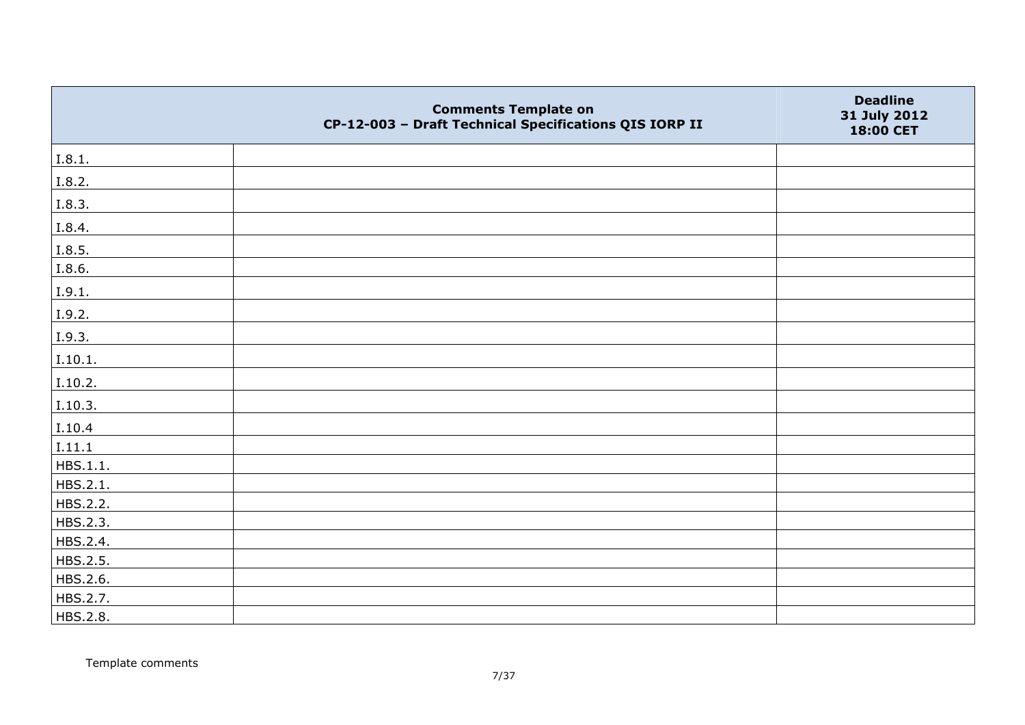|          | <b>Comments Template on</b><br>CP-12-003 - Draft Technical Specifications QIS IORP II | <b>Deadline</b><br>31 July 2012<br>18:00 CET |
|----------|---------------------------------------------------------------------------------------|----------------------------------------------|
| I.8.1.   |                                                                                       |                                              |
| I.8.2.   |                                                                                       |                                              |
| I.8.3.   |                                                                                       |                                              |
| I.8.4.   |                                                                                       |                                              |
| I.8.5.   |                                                                                       |                                              |
| I.8.6.   |                                                                                       |                                              |
| I.9.1.   |                                                                                       |                                              |
| I.9.2.   |                                                                                       |                                              |
| I.9.3.   |                                                                                       |                                              |
| I.10.1.  |                                                                                       |                                              |
| I.10.2.  |                                                                                       |                                              |
| I.10.3.  |                                                                                       |                                              |
| I.10.4   |                                                                                       |                                              |
| I.11.1   |                                                                                       |                                              |
| HBS.1.1. |                                                                                       |                                              |
| HBS.2.1. |                                                                                       |                                              |
| HBS.2.2. |                                                                                       |                                              |
| HBS.2.3. |                                                                                       |                                              |
| HBS.2.4. |                                                                                       |                                              |
| HBS.2.5. |                                                                                       |                                              |
| HBS.2.6. |                                                                                       |                                              |
| HBS.2.7. |                                                                                       |                                              |
| HBS.2.8. |                                                                                       |                                              |

Template comments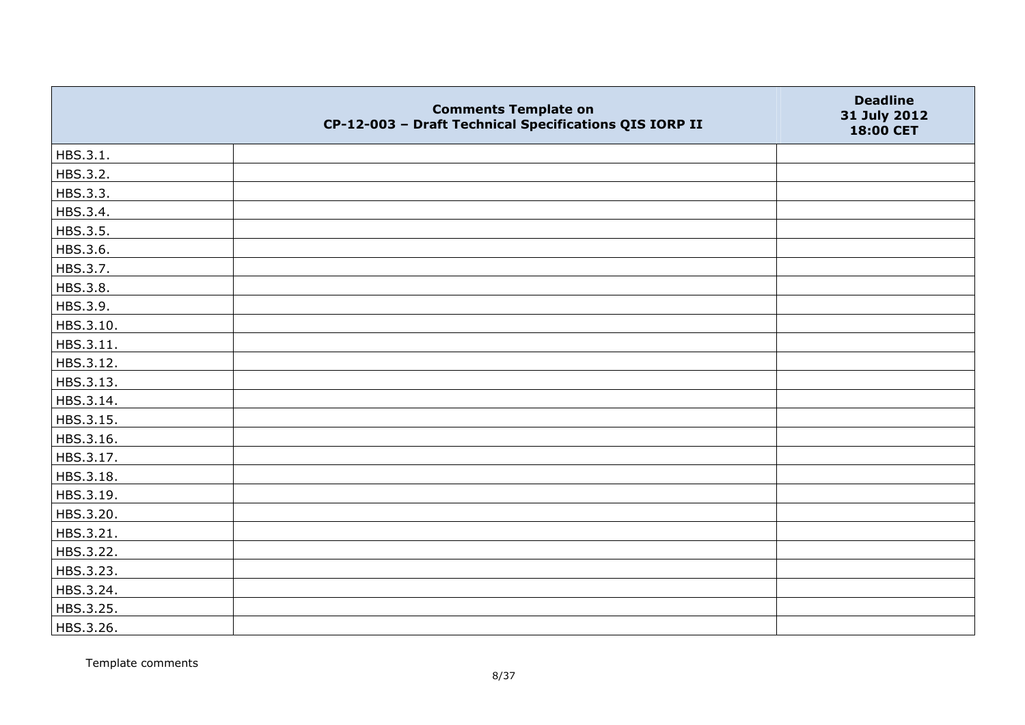|           | <b>Comments Template on</b><br>CP-12-003 - Draft Technical Specifications QIS IORP II | <b>Deadline</b><br>31 July 2012<br>18:00 CET |
|-----------|---------------------------------------------------------------------------------------|----------------------------------------------|
| HBS.3.1.  |                                                                                       |                                              |
| HBS.3.2.  |                                                                                       |                                              |
| HBS.3.3.  |                                                                                       |                                              |
| HBS.3.4.  |                                                                                       |                                              |
| HBS.3.5.  |                                                                                       |                                              |
| HBS.3.6.  |                                                                                       |                                              |
| HBS.3.7.  |                                                                                       |                                              |
| HBS.3.8.  |                                                                                       |                                              |
| HBS.3.9.  |                                                                                       |                                              |
| HBS.3.10. |                                                                                       |                                              |
| HBS.3.11. |                                                                                       |                                              |
| HBS.3.12. |                                                                                       |                                              |
| HBS.3.13. |                                                                                       |                                              |
| HBS.3.14. |                                                                                       |                                              |
| HBS.3.15. |                                                                                       |                                              |
| HBS.3.16. |                                                                                       |                                              |
| HBS.3.17. |                                                                                       |                                              |
| HBS.3.18. |                                                                                       |                                              |
| HBS.3.19. |                                                                                       |                                              |
| HBS.3.20. |                                                                                       |                                              |
| HBS.3.21. |                                                                                       |                                              |
| HBS.3.22. |                                                                                       |                                              |
| HBS.3.23. |                                                                                       |                                              |
| HBS.3.24. |                                                                                       |                                              |
| HBS.3.25. |                                                                                       |                                              |
| HBS.3.26. |                                                                                       |                                              |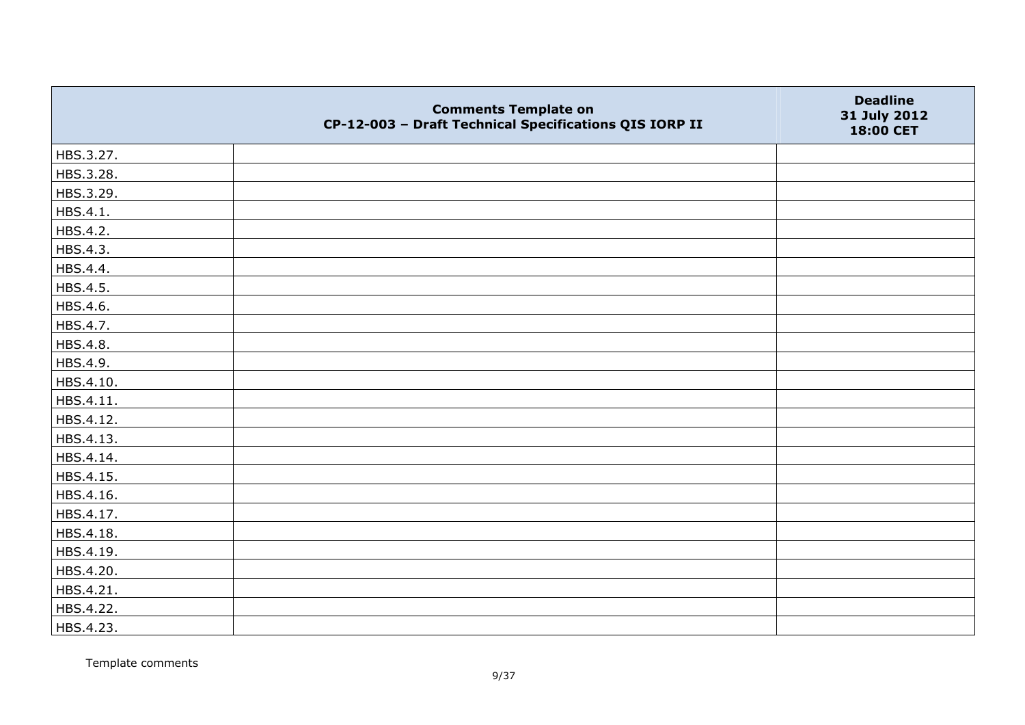|           | <b>Comments Template on</b><br>CP-12-003 - Draft Technical Specifications QIS IORP II | <b>Deadline</b><br>31 July 2012<br>18:00 CET |
|-----------|---------------------------------------------------------------------------------------|----------------------------------------------|
| HBS.3.27. |                                                                                       |                                              |
| HBS.3.28. |                                                                                       |                                              |
| HBS.3.29. |                                                                                       |                                              |
| HBS.4.1.  |                                                                                       |                                              |
| HBS.4.2.  |                                                                                       |                                              |
| HBS.4.3.  |                                                                                       |                                              |
| HBS.4.4.  |                                                                                       |                                              |
| HBS.4.5.  |                                                                                       |                                              |
| HBS.4.6.  |                                                                                       |                                              |
| HBS.4.7.  |                                                                                       |                                              |
| HBS.4.8.  |                                                                                       |                                              |
| HBS.4.9.  |                                                                                       |                                              |
| HBS.4.10. |                                                                                       |                                              |
| HBS.4.11. |                                                                                       |                                              |
| HBS.4.12. |                                                                                       |                                              |
| HBS.4.13. |                                                                                       |                                              |
| HBS.4.14. |                                                                                       |                                              |
| HBS.4.15. |                                                                                       |                                              |
| HBS.4.16. |                                                                                       |                                              |
| HBS.4.17. |                                                                                       |                                              |
| HBS.4.18. |                                                                                       |                                              |
| HBS.4.19. |                                                                                       |                                              |
| HBS.4.20. |                                                                                       |                                              |
| HBS.4.21. |                                                                                       |                                              |
| HBS.4.22. |                                                                                       |                                              |
| HBS.4.23. |                                                                                       |                                              |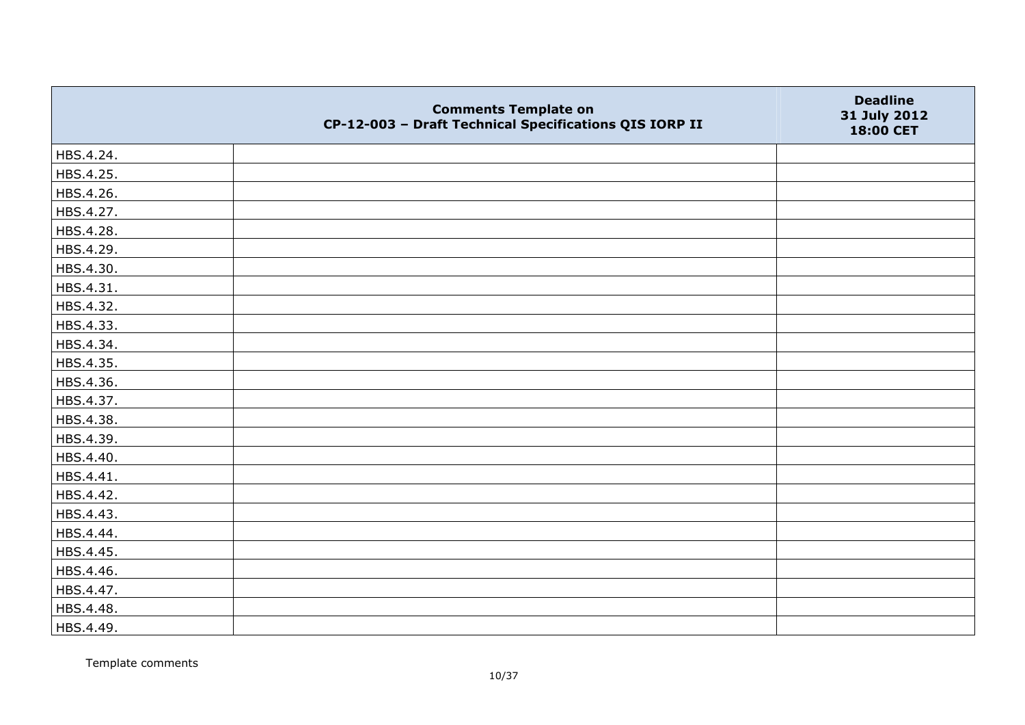|           | <b>Comments Template on</b><br>CP-12-003 - Draft Technical Specifications QIS IORP II | <b>Deadline</b><br>31 July 2012<br>18:00 CET |
|-----------|---------------------------------------------------------------------------------------|----------------------------------------------|
| HBS.4.24. |                                                                                       |                                              |
| HBS.4.25. |                                                                                       |                                              |
| HBS.4.26. |                                                                                       |                                              |
| HBS.4.27. |                                                                                       |                                              |
| HBS.4.28. |                                                                                       |                                              |
| HBS.4.29. |                                                                                       |                                              |
| HBS.4.30. |                                                                                       |                                              |
| HBS.4.31. |                                                                                       |                                              |
| HBS.4.32. |                                                                                       |                                              |
| HBS.4.33. |                                                                                       |                                              |
| HBS.4.34. |                                                                                       |                                              |
| HBS.4.35. |                                                                                       |                                              |
| HBS.4.36. |                                                                                       |                                              |
| HBS.4.37. |                                                                                       |                                              |
| HBS.4.38. |                                                                                       |                                              |
| HBS.4.39. |                                                                                       |                                              |
| HBS.4.40. |                                                                                       |                                              |
| HBS.4.41. |                                                                                       |                                              |
| HBS.4.42. |                                                                                       |                                              |
| HBS.4.43. |                                                                                       |                                              |
| HBS.4.44. |                                                                                       |                                              |
| HBS.4.45. |                                                                                       |                                              |
| HBS.4.46. |                                                                                       |                                              |
| HBS.4.47. |                                                                                       |                                              |
| HBS.4.48. |                                                                                       |                                              |
| HBS.4.49. |                                                                                       |                                              |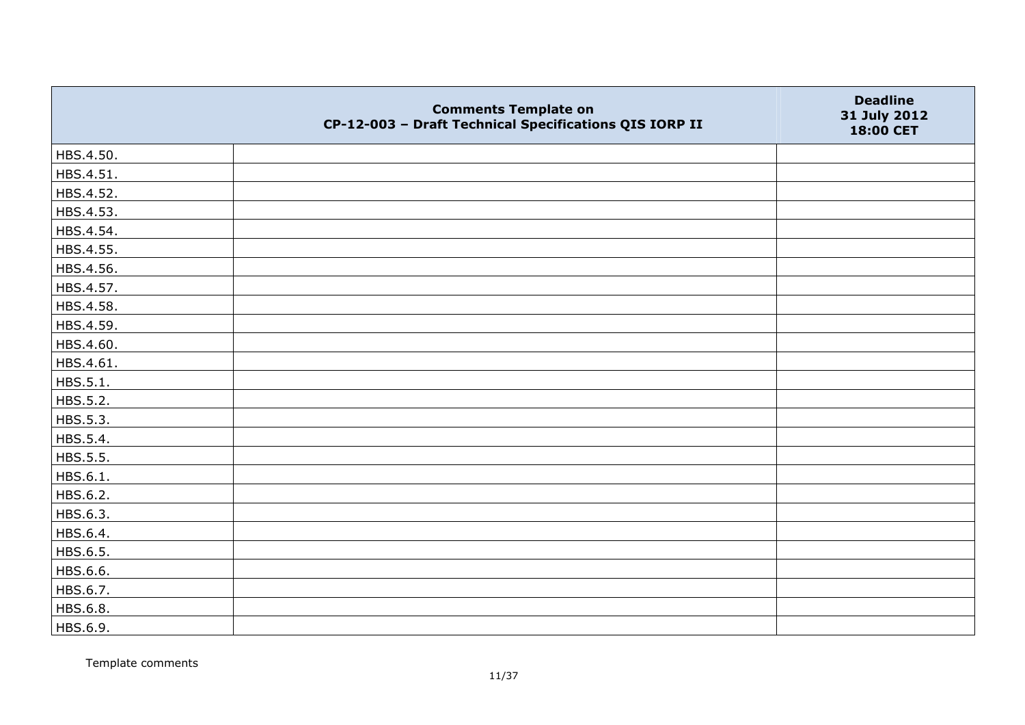|           | <b>Comments Template on</b><br>CP-12-003 - Draft Technical Specifications QIS IORP II | <b>Deadline</b><br>31 July 2012<br>18:00 CET |
|-----------|---------------------------------------------------------------------------------------|----------------------------------------------|
| HBS.4.50. |                                                                                       |                                              |
| HBS.4.51. |                                                                                       |                                              |
| HBS.4.52. |                                                                                       |                                              |
| HBS.4.53. |                                                                                       |                                              |
| HBS.4.54. |                                                                                       |                                              |
| HBS.4.55. |                                                                                       |                                              |
| HBS.4.56. |                                                                                       |                                              |
| HBS.4.57. |                                                                                       |                                              |
| HBS.4.58. |                                                                                       |                                              |
| HBS.4.59. |                                                                                       |                                              |
| HBS.4.60. |                                                                                       |                                              |
| HBS.4.61. |                                                                                       |                                              |
| HBS.5.1.  |                                                                                       |                                              |
| HBS.5.2.  |                                                                                       |                                              |
| HBS.5.3.  |                                                                                       |                                              |
| HBS.5.4.  |                                                                                       |                                              |
| HBS.5.5.  |                                                                                       |                                              |
| HBS.6.1.  |                                                                                       |                                              |
| HBS.6.2.  |                                                                                       |                                              |
| HBS.6.3.  |                                                                                       |                                              |
| HBS.6.4.  |                                                                                       |                                              |
| HBS.6.5.  |                                                                                       |                                              |
| HBS.6.6.  |                                                                                       |                                              |
| HBS.6.7.  |                                                                                       |                                              |
| HBS.6.8.  |                                                                                       |                                              |
| HBS.6.9.  |                                                                                       |                                              |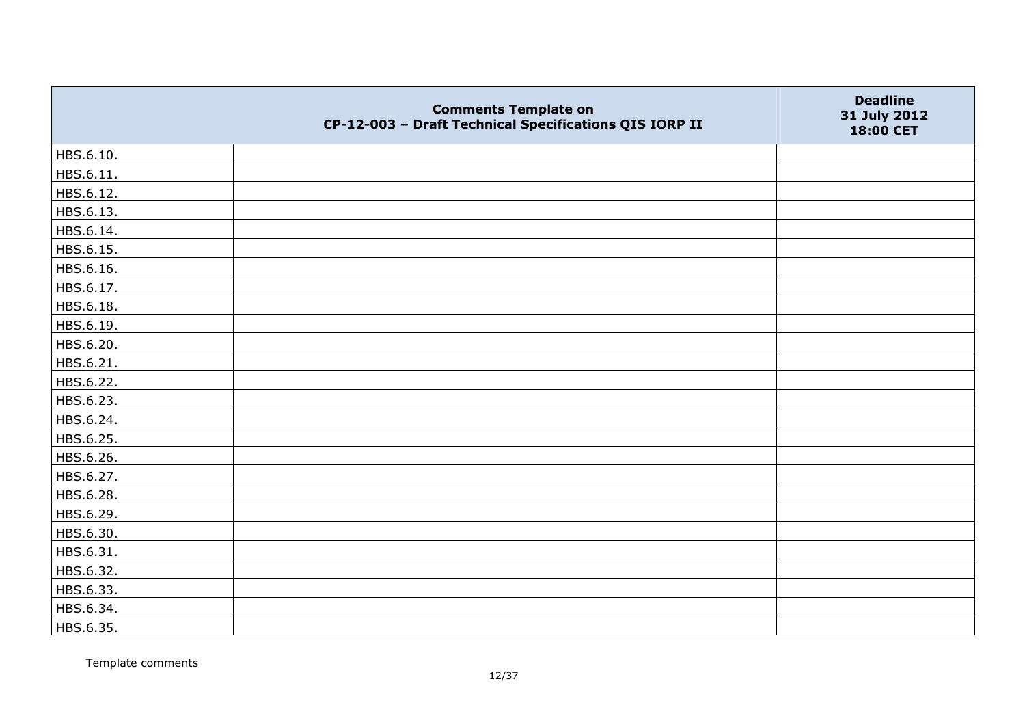|           | <b>Comments Template on</b><br>CP-12-003 - Draft Technical Specifications QIS IORP II | <b>Deadline</b><br>31 July 2012<br>18:00 CET |
|-----------|---------------------------------------------------------------------------------------|----------------------------------------------|
| HBS.6.10. |                                                                                       |                                              |
| HBS.6.11. |                                                                                       |                                              |
| HBS.6.12. |                                                                                       |                                              |
| HBS.6.13. |                                                                                       |                                              |
| HBS.6.14. |                                                                                       |                                              |
| HBS.6.15. |                                                                                       |                                              |
| HBS.6.16. |                                                                                       |                                              |
| HBS.6.17. |                                                                                       |                                              |
| HBS.6.18. |                                                                                       |                                              |
| HBS.6.19. |                                                                                       |                                              |
| HBS.6.20. |                                                                                       |                                              |
| HBS.6.21. |                                                                                       |                                              |
| HBS.6.22. |                                                                                       |                                              |
| HBS.6.23. |                                                                                       |                                              |
| HBS.6.24. |                                                                                       |                                              |
| HBS.6.25. |                                                                                       |                                              |
| HBS.6.26. |                                                                                       |                                              |
| HBS.6.27. |                                                                                       |                                              |
| HBS.6.28. |                                                                                       |                                              |
| HBS.6.29. |                                                                                       |                                              |
| HBS.6.30. |                                                                                       |                                              |
| HBS.6.31. |                                                                                       |                                              |
| HBS.6.32. |                                                                                       |                                              |
| HBS.6.33. |                                                                                       |                                              |
| HBS.6.34. |                                                                                       |                                              |
| HBS.6.35. |                                                                                       |                                              |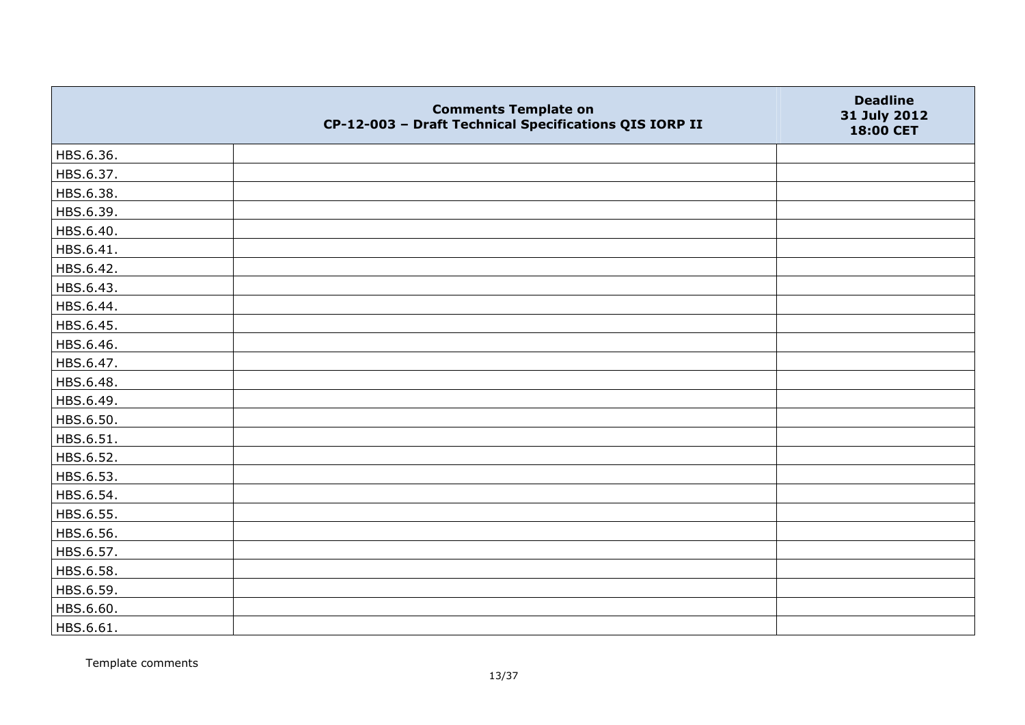|           | <b>Comments Template on</b><br>CP-12-003 - Draft Technical Specifications QIS IORP II | <b>Deadline</b><br>31 July 2012<br>18:00 CET |
|-----------|---------------------------------------------------------------------------------------|----------------------------------------------|
| HBS.6.36. |                                                                                       |                                              |
| HBS.6.37. |                                                                                       |                                              |
| HBS.6.38. |                                                                                       |                                              |
| HBS.6.39. |                                                                                       |                                              |
| HBS.6.40. |                                                                                       |                                              |
| HBS.6.41. |                                                                                       |                                              |
| HBS.6.42. |                                                                                       |                                              |
| HBS.6.43. |                                                                                       |                                              |
| HBS.6.44. |                                                                                       |                                              |
| HBS.6.45. |                                                                                       |                                              |
| HBS.6.46. |                                                                                       |                                              |
| HBS.6.47. |                                                                                       |                                              |
| HBS.6.48. |                                                                                       |                                              |
| HBS.6.49. |                                                                                       |                                              |
| HBS.6.50. |                                                                                       |                                              |
| HBS.6.51. |                                                                                       |                                              |
| HBS.6.52. |                                                                                       |                                              |
| HBS.6.53. |                                                                                       |                                              |
| HBS.6.54. |                                                                                       |                                              |
| HBS.6.55. |                                                                                       |                                              |
| HBS.6.56. |                                                                                       |                                              |
| HBS.6.57. |                                                                                       |                                              |
| HBS.6.58. |                                                                                       |                                              |
| HBS.6.59. |                                                                                       |                                              |
| HBS.6.60. |                                                                                       |                                              |
| HBS.6.61. |                                                                                       |                                              |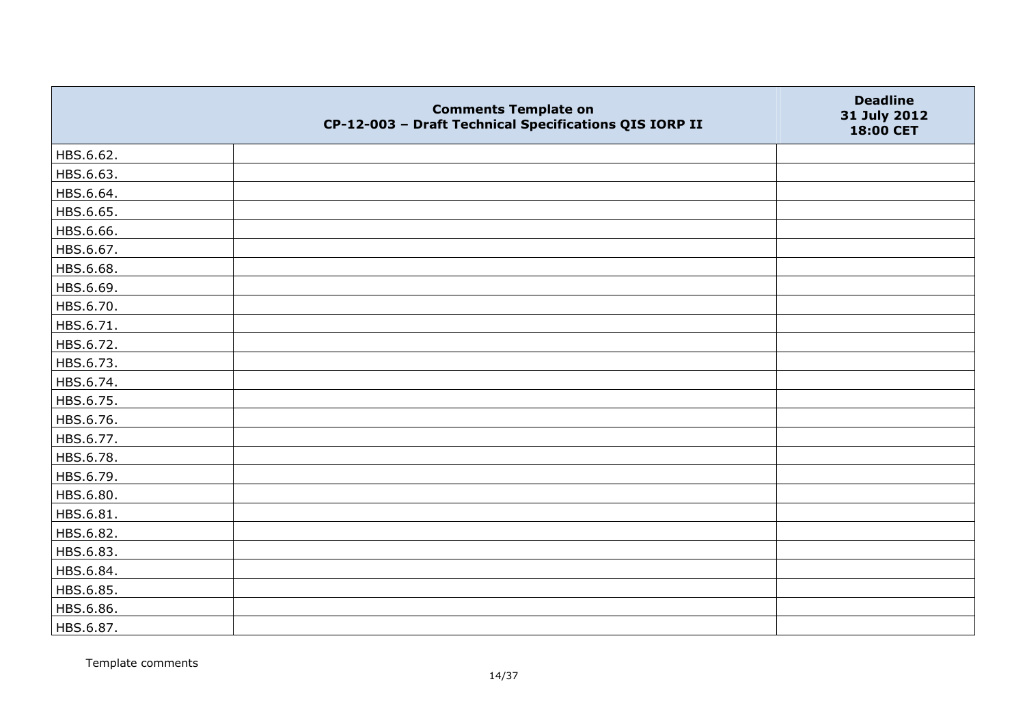|           | <b>Comments Template on</b><br>CP-12-003 - Draft Technical Specifications QIS IORP II | <b>Deadline</b><br>31 July 2012<br>18:00 CET |
|-----------|---------------------------------------------------------------------------------------|----------------------------------------------|
| HBS.6.62. |                                                                                       |                                              |
| HBS.6.63. |                                                                                       |                                              |
| HBS.6.64. |                                                                                       |                                              |
| HBS.6.65. |                                                                                       |                                              |
| HBS.6.66. |                                                                                       |                                              |
| HBS.6.67. |                                                                                       |                                              |
| HBS.6.68. |                                                                                       |                                              |
| HBS.6.69. |                                                                                       |                                              |
| HBS.6.70. |                                                                                       |                                              |
| HBS.6.71. |                                                                                       |                                              |
| HBS.6.72. |                                                                                       |                                              |
| HBS.6.73. |                                                                                       |                                              |
| HBS.6.74. |                                                                                       |                                              |
| HBS.6.75. |                                                                                       |                                              |
| HBS.6.76. |                                                                                       |                                              |
| HBS.6.77. |                                                                                       |                                              |
| HBS.6.78. |                                                                                       |                                              |
| HBS.6.79. |                                                                                       |                                              |
| HBS.6.80. |                                                                                       |                                              |
| HBS.6.81. |                                                                                       |                                              |
| HBS.6.82. |                                                                                       |                                              |
| HBS.6.83. |                                                                                       |                                              |
| HBS.6.84. |                                                                                       |                                              |
| HBS.6.85. |                                                                                       |                                              |
| HBS.6.86. |                                                                                       |                                              |
| HBS.6.87. |                                                                                       |                                              |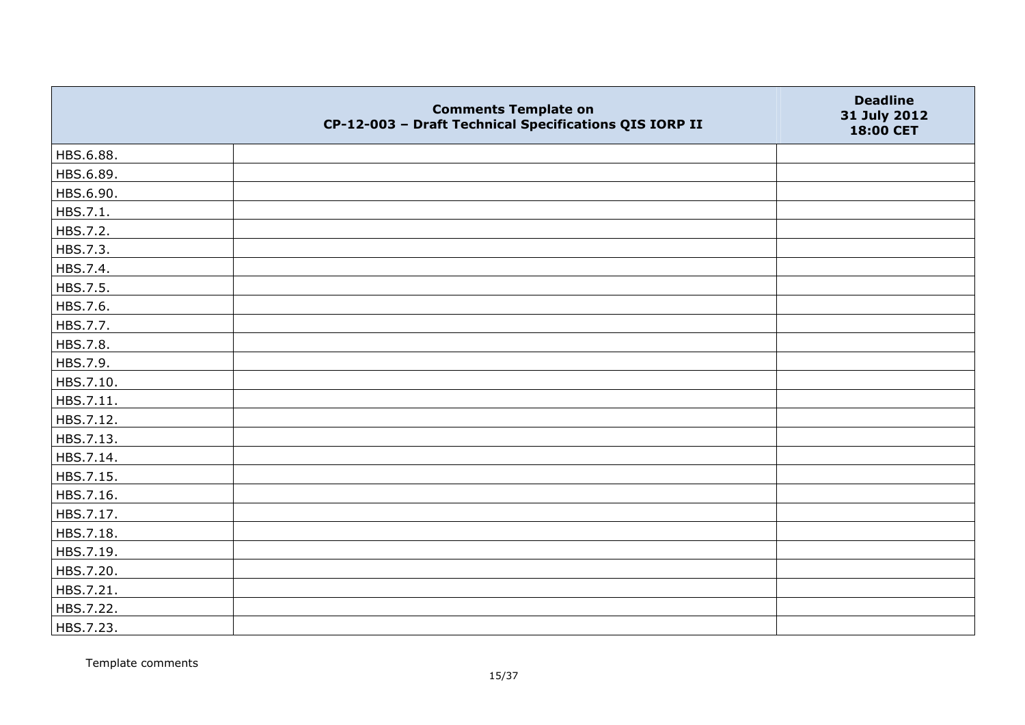|           | <b>Comments Template on</b><br>CP-12-003 - Draft Technical Specifications QIS IORP II | <b>Deadline</b><br>31 July 2012<br>18:00 CET |
|-----------|---------------------------------------------------------------------------------------|----------------------------------------------|
| HBS.6.88. |                                                                                       |                                              |
| HBS.6.89. |                                                                                       |                                              |
| HBS.6.90. |                                                                                       |                                              |
| HBS.7.1.  |                                                                                       |                                              |
| HBS.7.2.  |                                                                                       |                                              |
| HBS.7.3.  |                                                                                       |                                              |
| HBS.7.4.  |                                                                                       |                                              |
| HBS.7.5.  |                                                                                       |                                              |
| HBS.7.6.  |                                                                                       |                                              |
| HBS.7.7.  |                                                                                       |                                              |
| HBS.7.8.  |                                                                                       |                                              |
| HBS.7.9.  |                                                                                       |                                              |
| HBS.7.10. |                                                                                       |                                              |
| HBS.7.11. |                                                                                       |                                              |
| HBS.7.12. |                                                                                       |                                              |
| HBS.7.13. |                                                                                       |                                              |
| HBS.7.14. |                                                                                       |                                              |
| HBS.7.15. |                                                                                       |                                              |
| HBS.7.16. |                                                                                       |                                              |
| HBS.7.17. |                                                                                       |                                              |
| HBS.7.18. |                                                                                       |                                              |
| HBS.7.19. |                                                                                       |                                              |
| HBS.7.20. |                                                                                       |                                              |
| HBS.7.21. |                                                                                       |                                              |
| HBS.7.22. |                                                                                       |                                              |
| HBS.7.23. |                                                                                       |                                              |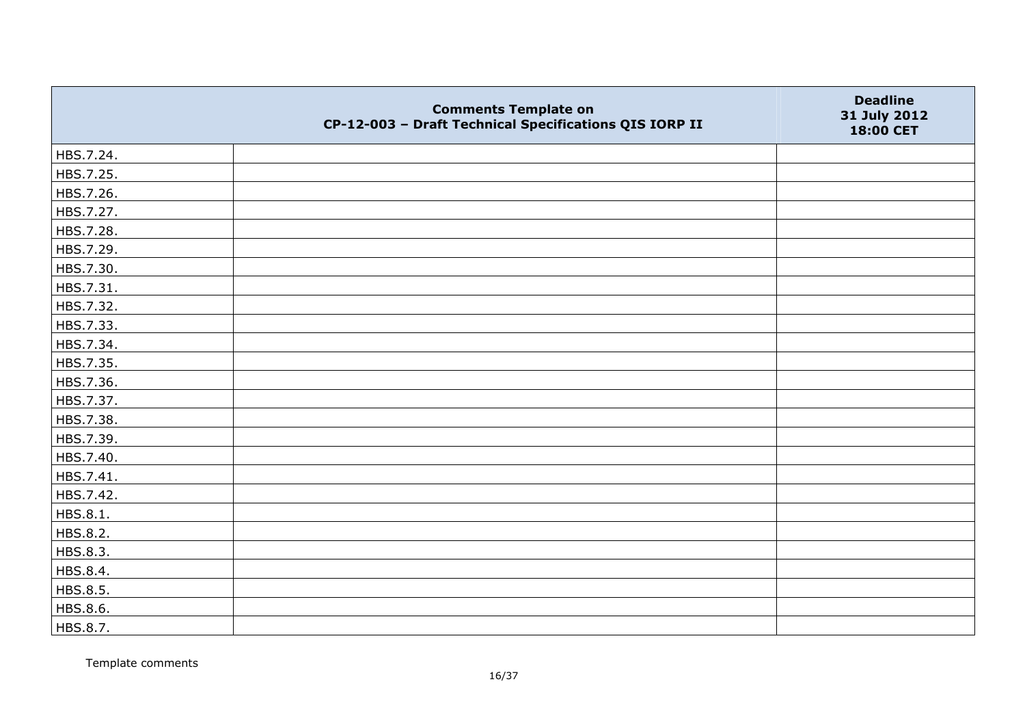|           | <b>Comments Template on</b><br>CP-12-003 - Draft Technical Specifications QIS IORP II | <b>Deadline</b><br>31 July 2012<br>18:00 CET |
|-----------|---------------------------------------------------------------------------------------|----------------------------------------------|
| HBS.7.24. |                                                                                       |                                              |
| HBS.7.25. |                                                                                       |                                              |
| HBS.7.26. |                                                                                       |                                              |
| HBS.7.27. |                                                                                       |                                              |
| HBS.7.28. |                                                                                       |                                              |
| HBS.7.29. |                                                                                       |                                              |
| HBS.7.30. |                                                                                       |                                              |
| HBS.7.31. |                                                                                       |                                              |
| HBS.7.32. |                                                                                       |                                              |
| HBS.7.33. |                                                                                       |                                              |
| HBS.7.34. |                                                                                       |                                              |
| HBS.7.35. |                                                                                       |                                              |
| HBS.7.36. |                                                                                       |                                              |
| HBS.7.37. |                                                                                       |                                              |
| HBS.7.38. |                                                                                       |                                              |
| HBS.7.39. |                                                                                       |                                              |
| HBS.7.40. |                                                                                       |                                              |
| HBS.7.41. |                                                                                       |                                              |
| HBS.7.42. |                                                                                       |                                              |
| HBS.8.1.  |                                                                                       |                                              |
| HBS.8.2.  |                                                                                       |                                              |
| HBS.8.3.  |                                                                                       |                                              |
| HBS.8.4.  |                                                                                       |                                              |
| HBS.8.5.  |                                                                                       |                                              |
| HBS.8.6.  |                                                                                       |                                              |
| HBS.8.7.  |                                                                                       |                                              |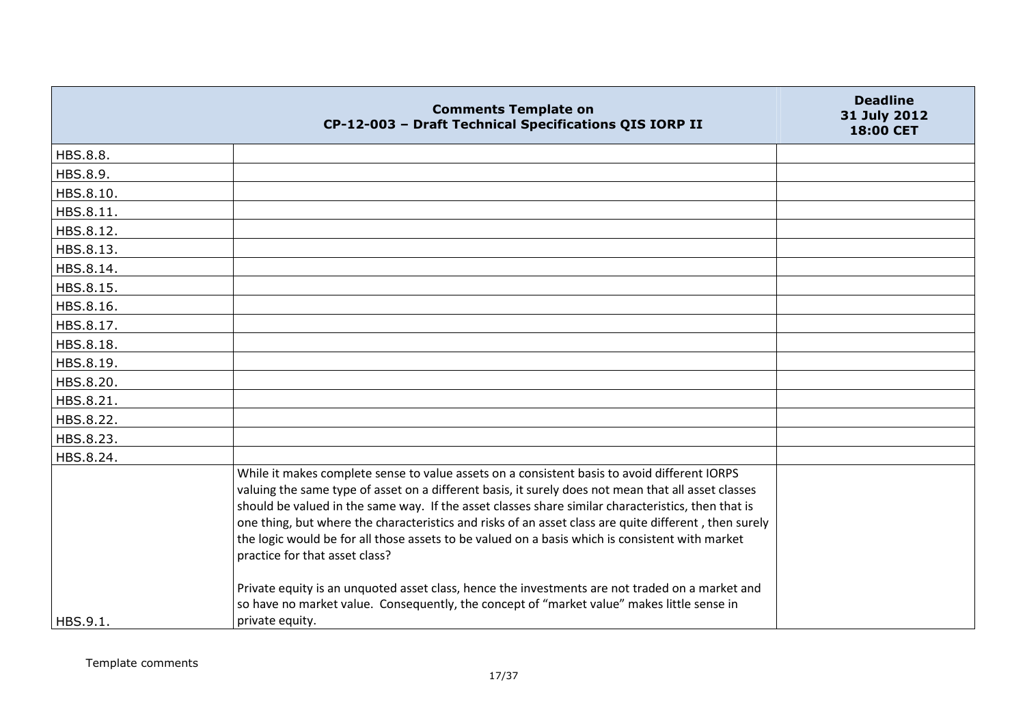|           | <b>Comments Template on</b><br>CP-12-003 - Draft Technical Specifications QIS IORP II                                                                                                                                                                                                                                                                                                                                                                                                                                                                   | <b>Deadline</b><br>31 July 2012<br>18:00 CET |
|-----------|---------------------------------------------------------------------------------------------------------------------------------------------------------------------------------------------------------------------------------------------------------------------------------------------------------------------------------------------------------------------------------------------------------------------------------------------------------------------------------------------------------------------------------------------------------|----------------------------------------------|
| HBS.8.8.  |                                                                                                                                                                                                                                                                                                                                                                                                                                                                                                                                                         |                                              |
| HBS.8.9.  |                                                                                                                                                                                                                                                                                                                                                                                                                                                                                                                                                         |                                              |
| HBS.8.10. |                                                                                                                                                                                                                                                                                                                                                                                                                                                                                                                                                         |                                              |
| HBS.8.11. |                                                                                                                                                                                                                                                                                                                                                                                                                                                                                                                                                         |                                              |
| HBS.8.12. |                                                                                                                                                                                                                                                                                                                                                                                                                                                                                                                                                         |                                              |
| HBS.8.13. |                                                                                                                                                                                                                                                                                                                                                                                                                                                                                                                                                         |                                              |
| HBS.8.14. |                                                                                                                                                                                                                                                                                                                                                                                                                                                                                                                                                         |                                              |
| HBS.8.15. |                                                                                                                                                                                                                                                                                                                                                                                                                                                                                                                                                         |                                              |
| HBS.8.16. |                                                                                                                                                                                                                                                                                                                                                                                                                                                                                                                                                         |                                              |
| HBS.8.17. |                                                                                                                                                                                                                                                                                                                                                                                                                                                                                                                                                         |                                              |
| HBS.8.18. |                                                                                                                                                                                                                                                                                                                                                                                                                                                                                                                                                         |                                              |
| HBS.8.19. |                                                                                                                                                                                                                                                                                                                                                                                                                                                                                                                                                         |                                              |
| HBS.8.20. |                                                                                                                                                                                                                                                                                                                                                                                                                                                                                                                                                         |                                              |
| HBS.8.21. |                                                                                                                                                                                                                                                                                                                                                                                                                                                                                                                                                         |                                              |
| HBS.8.22. |                                                                                                                                                                                                                                                                                                                                                                                                                                                                                                                                                         |                                              |
| HBS.8.23. |                                                                                                                                                                                                                                                                                                                                                                                                                                                                                                                                                         |                                              |
| HBS.8.24. |                                                                                                                                                                                                                                                                                                                                                                                                                                                                                                                                                         |                                              |
|           | While it makes complete sense to value assets on a consistent basis to avoid different IORPS<br>valuing the same type of asset on a different basis, it surely does not mean that all asset classes<br>should be valued in the same way. If the asset classes share similar characteristics, then that is<br>one thing, but where the characteristics and risks of an asset class are quite different, then surely<br>the logic would be for all those assets to be valued on a basis which is consistent with market<br>practice for that asset class? |                                              |
| HBS.9.1.  | Private equity is an unquoted asset class, hence the investments are not traded on a market and<br>so have no market value. Consequently, the concept of "market value" makes little sense in<br>private equity.                                                                                                                                                                                                                                                                                                                                        |                                              |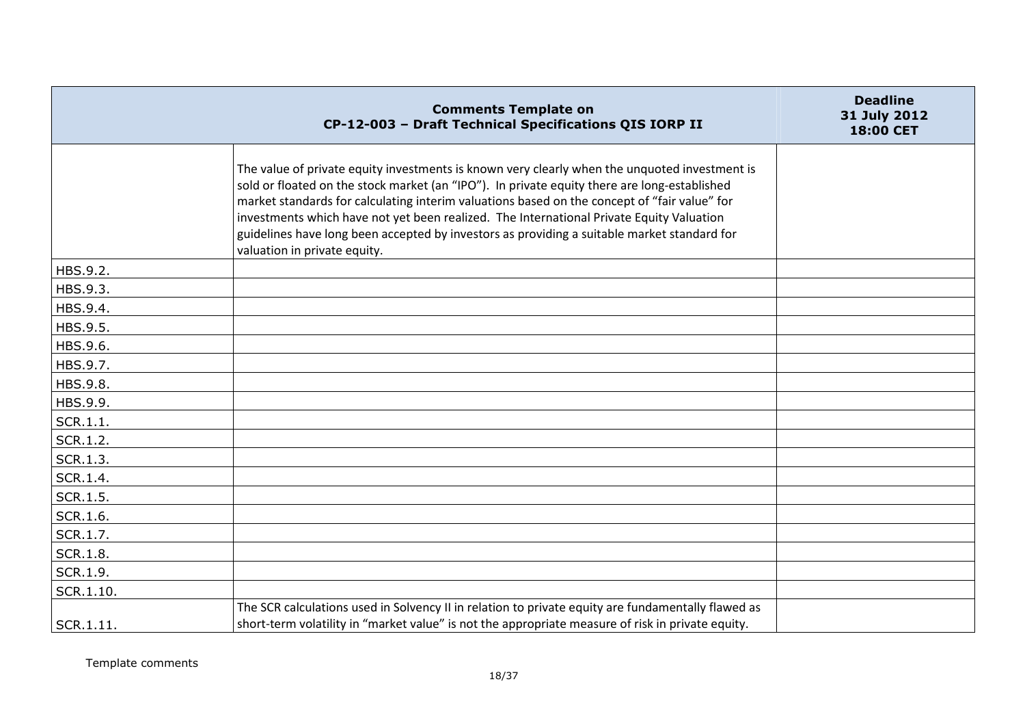|                 | <b>Comments Template on</b><br>CP-12-003 - Draft Technical Specifications QIS IORP II                                                                                                                                                                                                                                                                                                                                                                                                                                    | <b>Deadline</b><br>31 July 2012<br>18:00 CET |
|-----------------|--------------------------------------------------------------------------------------------------------------------------------------------------------------------------------------------------------------------------------------------------------------------------------------------------------------------------------------------------------------------------------------------------------------------------------------------------------------------------------------------------------------------------|----------------------------------------------|
|                 | The value of private equity investments is known very clearly when the unquoted investment is<br>sold or floated on the stock market (an "IPO"). In private equity there are long-established<br>market standards for calculating interim valuations based on the concept of "fair value" for<br>investments which have not yet been realized. The International Private Equity Valuation<br>guidelines have long been accepted by investors as providing a suitable market standard for<br>valuation in private equity. |                                              |
| HBS.9.2.        |                                                                                                                                                                                                                                                                                                                                                                                                                                                                                                                          |                                              |
| HBS.9.3.        |                                                                                                                                                                                                                                                                                                                                                                                                                                                                                                                          |                                              |
| HBS.9.4.        |                                                                                                                                                                                                                                                                                                                                                                                                                                                                                                                          |                                              |
| HBS.9.5.        |                                                                                                                                                                                                                                                                                                                                                                                                                                                                                                                          |                                              |
| HBS.9.6.        |                                                                                                                                                                                                                                                                                                                                                                                                                                                                                                                          |                                              |
| HBS.9.7.        |                                                                                                                                                                                                                                                                                                                                                                                                                                                                                                                          |                                              |
| HBS.9.8.        |                                                                                                                                                                                                                                                                                                                                                                                                                                                                                                                          |                                              |
| HBS.9.9.        |                                                                                                                                                                                                                                                                                                                                                                                                                                                                                                                          |                                              |
| SCR.1.1.        |                                                                                                                                                                                                                                                                                                                                                                                                                                                                                                                          |                                              |
| SCR.1.2.        |                                                                                                                                                                                                                                                                                                                                                                                                                                                                                                                          |                                              |
| SCR.1.3.        |                                                                                                                                                                                                                                                                                                                                                                                                                                                                                                                          |                                              |
| SCR.1.4.        |                                                                                                                                                                                                                                                                                                                                                                                                                                                                                                                          |                                              |
| SCR.1.5.        |                                                                                                                                                                                                                                                                                                                                                                                                                                                                                                                          |                                              |
| SCR.1.6.        |                                                                                                                                                                                                                                                                                                                                                                                                                                                                                                                          |                                              |
| SCR.1.7.        |                                                                                                                                                                                                                                                                                                                                                                                                                                                                                                                          |                                              |
| <b>SCR.1.8.</b> |                                                                                                                                                                                                                                                                                                                                                                                                                                                                                                                          |                                              |
| SCR.1.9.        |                                                                                                                                                                                                                                                                                                                                                                                                                                                                                                                          |                                              |
| SCR.1.10.       |                                                                                                                                                                                                                                                                                                                                                                                                                                                                                                                          |                                              |
|                 | The SCR calculations used in Solvency II in relation to private equity are fundamentally flawed as                                                                                                                                                                                                                                                                                                                                                                                                                       |                                              |
| $ $ SCR.1.11.   | short-term volatility in "market value" is not the appropriate measure of risk in private equity.                                                                                                                                                                                                                                                                                                                                                                                                                        |                                              |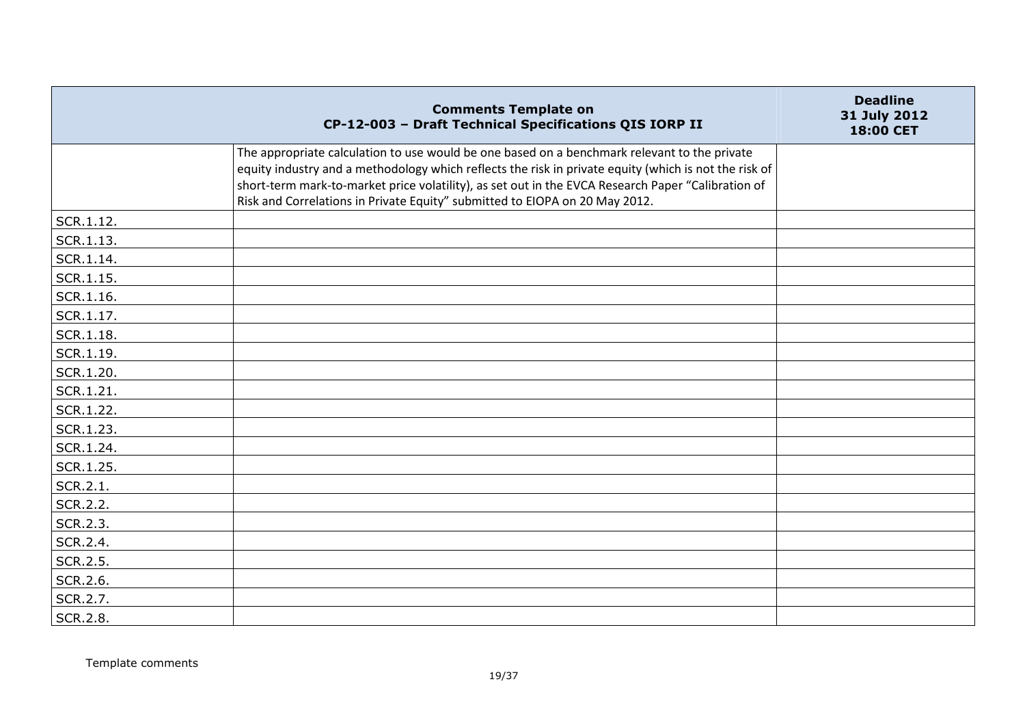|           | <b>Comments Template on</b><br>CP-12-003 - Draft Technical Specifications QIS IORP II                                                                                                                                                                                                                                                                                                      | <b>Deadline</b><br>31 July 2012<br>18:00 CET |
|-----------|--------------------------------------------------------------------------------------------------------------------------------------------------------------------------------------------------------------------------------------------------------------------------------------------------------------------------------------------------------------------------------------------|----------------------------------------------|
|           | The appropriate calculation to use would be one based on a benchmark relevant to the private<br>equity industry and a methodology which reflects the risk in private equity (which is not the risk of<br>short-term mark-to-market price volatility), as set out in the EVCA Research Paper "Calibration of<br>Risk and Correlations in Private Equity" submitted to EIOPA on 20 May 2012. |                                              |
| SCR.1.12. |                                                                                                                                                                                                                                                                                                                                                                                            |                                              |
| SCR.1.13. |                                                                                                                                                                                                                                                                                                                                                                                            |                                              |
| SCR.1.14. |                                                                                                                                                                                                                                                                                                                                                                                            |                                              |
| SCR.1.15. |                                                                                                                                                                                                                                                                                                                                                                                            |                                              |
| SCR.1.16. |                                                                                                                                                                                                                                                                                                                                                                                            |                                              |
| SCR.1.17. |                                                                                                                                                                                                                                                                                                                                                                                            |                                              |
| SCR.1.18. |                                                                                                                                                                                                                                                                                                                                                                                            |                                              |
| SCR.1.19. |                                                                                                                                                                                                                                                                                                                                                                                            |                                              |
| SCR.1.20. |                                                                                                                                                                                                                                                                                                                                                                                            |                                              |
| SCR.1.21. |                                                                                                                                                                                                                                                                                                                                                                                            |                                              |
| SCR.1.22. |                                                                                                                                                                                                                                                                                                                                                                                            |                                              |
| SCR.1.23. |                                                                                                                                                                                                                                                                                                                                                                                            |                                              |
| SCR.1.24. |                                                                                                                                                                                                                                                                                                                                                                                            |                                              |
| SCR.1.25. |                                                                                                                                                                                                                                                                                                                                                                                            |                                              |
| SCR.2.1.  |                                                                                                                                                                                                                                                                                                                                                                                            |                                              |
| SCR.2.2.  |                                                                                                                                                                                                                                                                                                                                                                                            |                                              |
| SCR.2.3.  |                                                                                                                                                                                                                                                                                                                                                                                            |                                              |
| SCR.2.4.  |                                                                                                                                                                                                                                                                                                                                                                                            |                                              |
| SCR.2.5.  |                                                                                                                                                                                                                                                                                                                                                                                            |                                              |
| SCR.2.6.  |                                                                                                                                                                                                                                                                                                                                                                                            |                                              |
| SCR.2.7.  |                                                                                                                                                                                                                                                                                                                                                                                            |                                              |
| SCR.2.8.  |                                                                                                                                                                                                                                                                                                                                                                                            |                                              |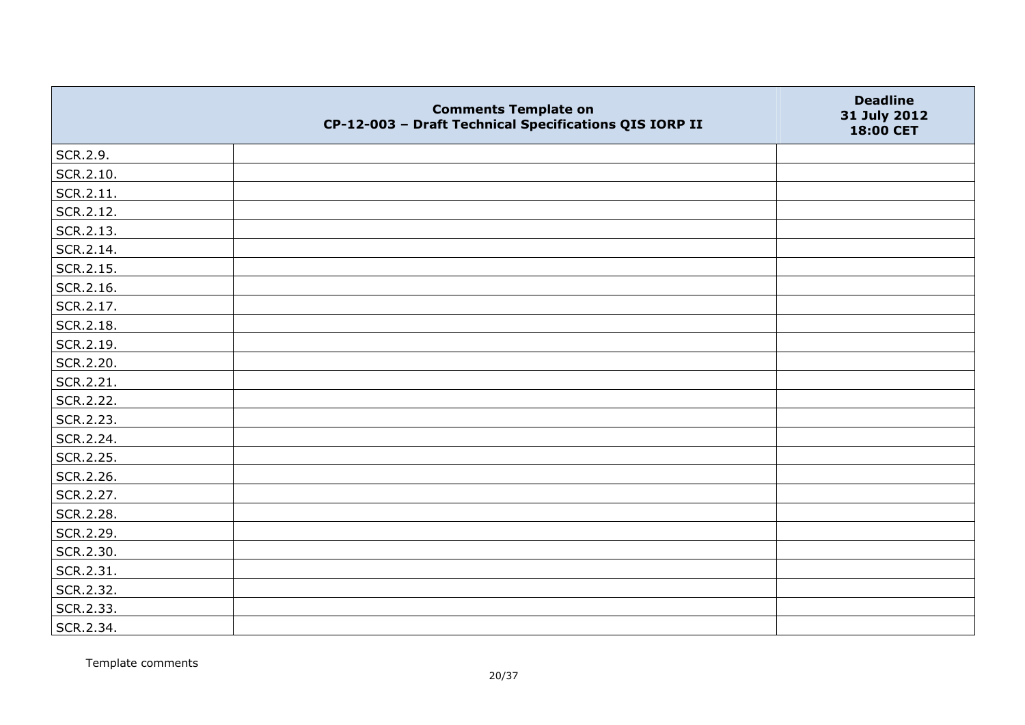|           | <b>Comments Template on</b><br>CP-12-003 - Draft Technical Specifications QIS IORP II | <b>Deadline</b><br>31 July 2012<br>18:00 CET |
|-----------|---------------------------------------------------------------------------------------|----------------------------------------------|
| SCR.2.9.  |                                                                                       |                                              |
| SCR.2.10. |                                                                                       |                                              |
| SCR.2.11. |                                                                                       |                                              |
| SCR.2.12. |                                                                                       |                                              |
| SCR.2.13. |                                                                                       |                                              |
| SCR.2.14. |                                                                                       |                                              |
| SCR.2.15. |                                                                                       |                                              |
| SCR.2.16. |                                                                                       |                                              |
| SCR.2.17. |                                                                                       |                                              |
| SCR.2.18. |                                                                                       |                                              |
| SCR.2.19. |                                                                                       |                                              |
| SCR.2.20. |                                                                                       |                                              |
| SCR.2.21. |                                                                                       |                                              |
| SCR.2.22. |                                                                                       |                                              |
| SCR.2.23. |                                                                                       |                                              |
| SCR.2.24. |                                                                                       |                                              |
| SCR.2.25. |                                                                                       |                                              |
| SCR.2.26. |                                                                                       |                                              |
| SCR.2.27. |                                                                                       |                                              |
| SCR.2.28. |                                                                                       |                                              |
| SCR.2.29. |                                                                                       |                                              |
| SCR.2.30. |                                                                                       |                                              |
| SCR.2.31. |                                                                                       |                                              |
| SCR.2.32. |                                                                                       |                                              |
| SCR.2.33. |                                                                                       |                                              |
| SCR.2.34. |                                                                                       |                                              |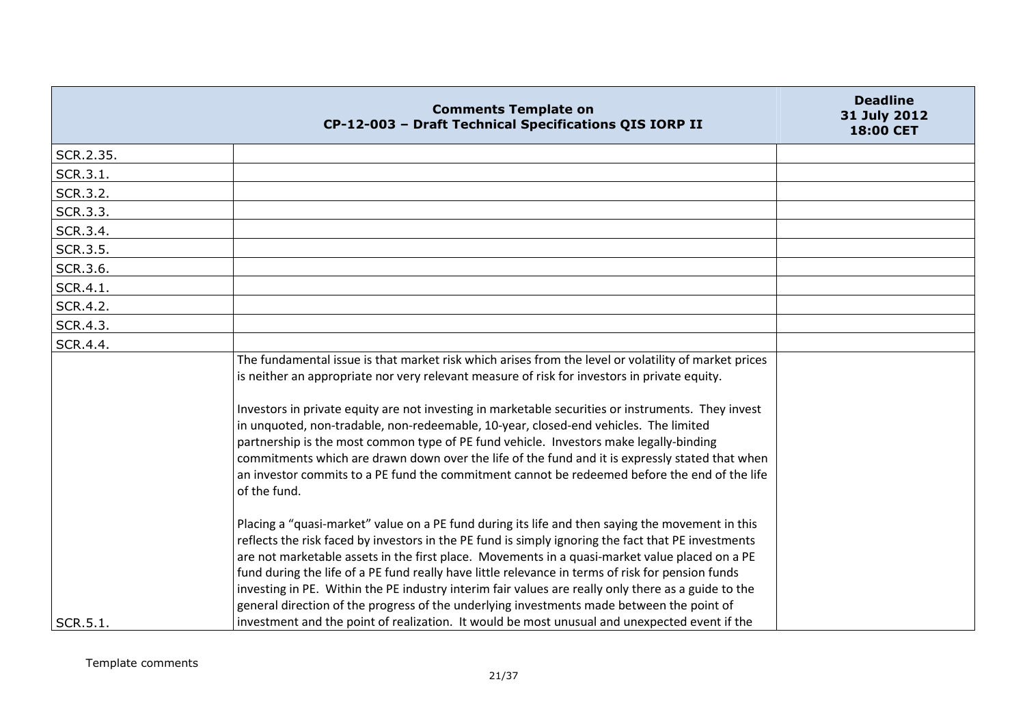|           | <b>Comments Template on</b><br>CP-12-003 - Draft Technical Specifications QIS IORP II                                                                                                                                                                                                                                                                                                                                                                                                                                                                                                                                                                                                                               | <b>Deadline</b><br>31 July 2012<br>18:00 CET |
|-----------|---------------------------------------------------------------------------------------------------------------------------------------------------------------------------------------------------------------------------------------------------------------------------------------------------------------------------------------------------------------------------------------------------------------------------------------------------------------------------------------------------------------------------------------------------------------------------------------------------------------------------------------------------------------------------------------------------------------------|----------------------------------------------|
| SCR.2.35. |                                                                                                                                                                                                                                                                                                                                                                                                                                                                                                                                                                                                                                                                                                                     |                                              |
| SCR.3.1.  |                                                                                                                                                                                                                                                                                                                                                                                                                                                                                                                                                                                                                                                                                                                     |                                              |
| SCR.3.2.  |                                                                                                                                                                                                                                                                                                                                                                                                                                                                                                                                                                                                                                                                                                                     |                                              |
| SCR.3.3.  |                                                                                                                                                                                                                                                                                                                                                                                                                                                                                                                                                                                                                                                                                                                     |                                              |
| SCR.3.4.  |                                                                                                                                                                                                                                                                                                                                                                                                                                                                                                                                                                                                                                                                                                                     |                                              |
| SCR.3.5.  |                                                                                                                                                                                                                                                                                                                                                                                                                                                                                                                                                                                                                                                                                                                     |                                              |
| SCR.3.6.  |                                                                                                                                                                                                                                                                                                                                                                                                                                                                                                                                                                                                                                                                                                                     |                                              |
| SCR.4.1.  |                                                                                                                                                                                                                                                                                                                                                                                                                                                                                                                                                                                                                                                                                                                     |                                              |
| SCR.4.2.  |                                                                                                                                                                                                                                                                                                                                                                                                                                                                                                                                                                                                                                                                                                                     |                                              |
| SCR.4.3.  |                                                                                                                                                                                                                                                                                                                                                                                                                                                                                                                                                                                                                                                                                                                     |                                              |
| SCR.4.4.  |                                                                                                                                                                                                                                                                                                                                                                                                                                                                                                                                                                                                                                                                                                                     |                                              |
|           | The fundamental issue is that market risk which arises from the level or volatility of market prices<br>is neither an appropriate nor very relevant measure of risk for investors in private equity.<br>Investors in private equity are not investing in marketable securities or instruments. They invest<br>in unquoted, non-tradable, non-redeemable, 10-year, closed-end vehicles. The limited<br>partnership is the most common type of PE fund vehicle. Investors make legally-binding<br>commitments which are drawn down over the life of the fund and it is expressly stated that when<br>an investor commits to a PE fund the commitment cannot be redeemed before the end of the life<br>of the fund.    |                                              |
| SCR.5.1.  | Placing a "quasi-market" value on a PE fund during its life and then saying the movement in this<br>reflects the risk faced by investors in the PE fund is simply ignoring the fact that PE investments<br>are not marketable assets in the first place. Movements in a quasi-market value placed on a PE<br>fund during the life of a PE fund really have little relevance in terms of risk for pension funds<br>investing in PE. Within the PE industry interim fair values are really only there as a guide to the<br>general direction of the progress of the underlying investments made between the point of<br>investment and the point of realization. It would be most unusual and unexpected event if the |                                              |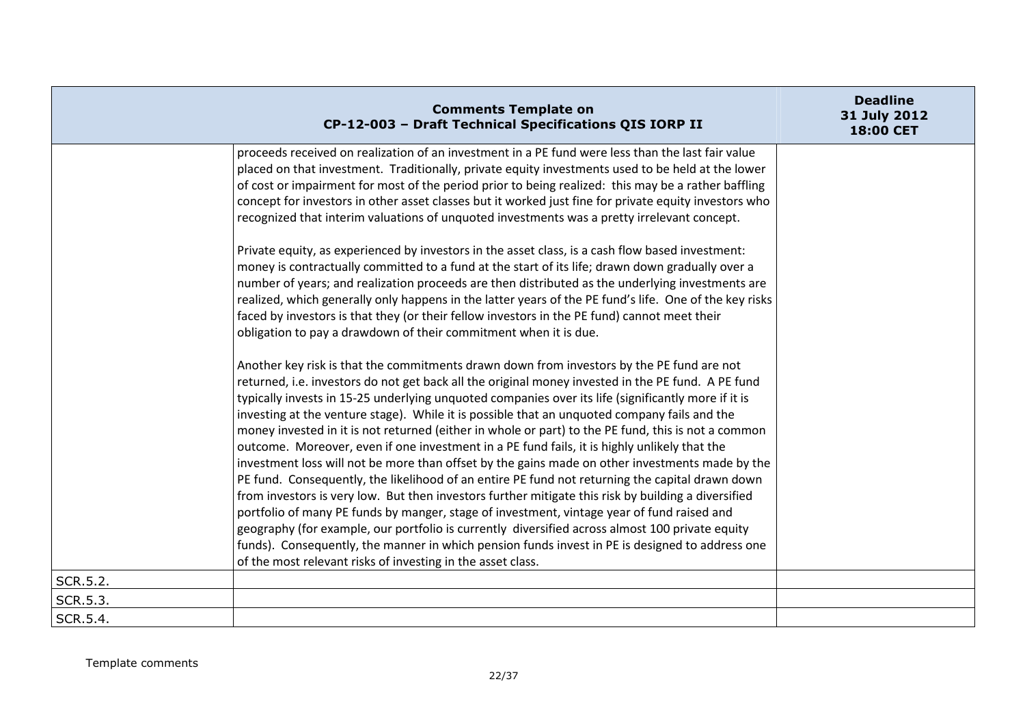|          | <b>Comments Template on</b><br>CP-12-003 - Draft Technical Specifications QIS IORP II                                                                                                                                                                                                                                                                                                                                                                                                                                                                                                                                                                                                                                                                                                                                             | <b>Deadline</b><br>31 July 2012<br>18:00 CET |
|----------|-----------------------------------------------------------------------------------------------------------------------------------------------------------------------------------------------------------------------------------------------------------------------------------------------------------------------------------------------------------------------------------------------------------------------------------------------------------------------------------------------------------------------------------------------------------------------------------------------------------------------------------------------------------------------------------------------------------------------------------------------------------------------------------------------------------------------------------|----------------------------------------------|
|          | proceeds received on realization of an investment in a PE fund were less than the last fair value<br>placed on that investment. Traditionally, private equity investments used to be held at the lower<br>of cost or impairment for most of the period prior to being realized: this may be a rather baffling<br>concept for investors in other asset classes but it worked just fine for private equity investors who<br>recognized that interim valuations of unquoted investments was a pretty irrelevant concept.<br>Private equity, as experienced by investors in the asset class, is a cash flow based investment:<br>money is contractually committed to a fund at the start of its life; drawn down gradually over a<br>number of years; and realization proceeds are then distributed as the underlying investments are |                                              |
|          | realized, which generally only happens in the latter years of the PE fund's life. One of the key risks<br>faced by investors is that they (or their fellow investors in the PE fund) cannot meet their<br>obligation to pay a drawdown of their commitment when it is due.<br>Another key risk is that the commitments drawn down from investors by the PE fund are not<br>returned, i.e. investors do not get back all the original money invested in the PE fund. A PE fund                                                                                                                                                                                                                                                                                                                                                     |                                              |
|          | typically invests in 15-25 underlying unquoted companies over its life (significantly more if it is<br>investing at the venture stage). While it is possible that an unquoted company fails and the<br>money invested in it is not returned (either in whole or part) to the PE fund, this is not a common<br>outcome. Moreover, even if one investment in a PE fund fails, it is highly unlikely that the<br>investment loss will not be more than offset by the gains made on other investments made by the<br>PE fund. Consequently, the likelihood of an entire PE fund not returning the capital drawn down<br>from investors is very low. But then investors further mitigate this risk by building a diversified                                                                                                           |                                              |
|          | portfolio of many PE funds by manger, stage of investment, vintage year of fund raised and<br>geography (for example, our portfolio is currently diversified across almost 100 private equity<br>funds). Consequently, the manner in which pension funds invest in PE is designed to address one<br>of the most relevant risks of investing in the asset class.                                                                                                                                                                                                                                                                                                                                                                                                                                                                   |                                              |
| SCR.5.2. |                                                                                                                                                                                                                                                                                                                                                                                                                                                                                                                                                                                                                                                                                                                                                                                                                                   |                                              |
| SCR.5.3. |                                                                                                                                                                                                                                                                                                                                                                                                                                                                                                                                                                                                                                                                                                                                                                                                                                   |                                              |
| SCR.5.4. |                                                                                                                                                                                                                                                                                                                                                                                                                                                                                                                                                                                                                                                                                                                                                                                                                                   |                                              |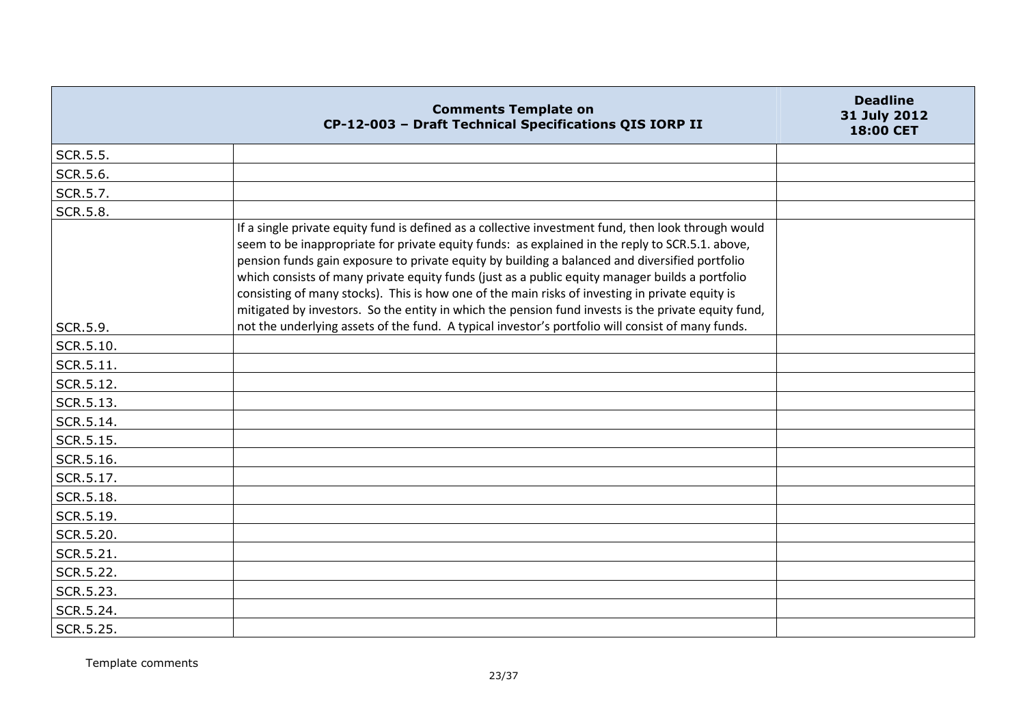|           | <b>Comments Template on</b><br>CP-12-003 - Draft Technical Specifications QIS IORP II                                                                                                                                                                                                                                                                                                                                                                                                                                                                                                                                 | <b>Deadline</b><br>31 July 2012<br>18:00 CET |
|-----------|-----------------------------------------------------------------------------------------------------------------------------------------------------------------------------------------------------------------------------------------------------------------------------------------------------------------------------------------------------------------------------------------------------------------------------------------------------------------------------------------------------------------------------------------------------------------------------------------------------------------------|----------------------------------------------|
| SCR.5.5.  |                                                                                                                                                                                                                                                                                                                                                                                                                                                                                                                                                                                                                       |                                              |
| SCR.5.6.  |                                                                                                                                                                                                                                                                                                                                                                                                                                                                                                                                                                                                                       |                                              |
| SCR.5.7.  |                                                                                                                                                                                                                                                                                                                                                                                                                                                                                                                                                                                                                       |                                              |
| SCR.5.8.  |                                                                                                                                                                                                                                                                                                                                                                                                                                                                                                                                                                                                                       |                                              |
|           | If a single private equity fund is defined as a collective investment fund, then look through would<br>seem to be inappropriate for private equity funds: as explained in the reply to SCR.5.1. above,<br>pension funds gain exposure to private equity by building a balanced and diversified portfolio<br>which consists of many private equity funds (just as a public equity manager builds a portfolio<br>consisting of many stocks). This is how one of the main risks of investing in private equity is<br>mitigated by investors. So the entity in which the pension fund invests is the private equity fund, |                                              |
| SCR.5.9.  | not the underlying assets of the fund. A typical investor's portfolio will consist of many funds.                                                                                                                                                                                                                                                                                                                                                                                                                                                                                                                     |                                              |
| SCR.5.10. |                                                                                                                                                                                                                                                                                                                                                                                                                                                                                                                                                                                                                       |                                              |
| SCR.5.11. |                                                                                                                                                                                                                                                                                                                                                                                                                                                                                                                                                                                                                       |                                              |
| SCR.5.12. |                                                                                                                                                                                                                                                                                                                                                                                                                                                                                                                                                                                                                       |                                              |
| SCR.5.13. |                                                                                                                                                                                                                                                                                                                                                                                                                                                                                                                                                                                                                       |                                              |
| SCR.5.14. |                                                                                                                                                                                                                                                                                                                                                                                                                                                                                                                                                                                                                       |                                              |
| SCR.5.15. |                                                                                                                                                                                                                                                                                                                                                                                                                                                                                                                                                                                                                       |                                              |
| SCR.5.16. |                                                                                                                                                                                                                                                                                                                                                                                                                                                                                                                                                                                                                       |                                              |
| SCR.5.17. |                                                                                                                                                                                                                                                                                                                                                                                                                                                                                                                                                                                                                       |                                              |
| SCR.5.18. |                                                                                                                                                                                                                                                                                                                                                                                                                                                                                                                                                                                                                       |                                              |
| SCR.5.19. |                                                                                                                                                                                                                                                                                                                                                                                                                                                                                                                                                                                                                       |                                              |
| SCR.5.20. |                                                                                                                                                                                                                                                                                                                                                                                                                                                                                                                                                                                                                       |                                              |
| SCR.5.21. |                                                                                                                                                                                                                                                                                                                                                                                                                                                                                                                                                                                                                       |                                              |
| SCR.5.22. |                                                                                                                                                                                                                                                                                                                                                                                                                                                                                                                                                                                                                       |                                              |
| SCR.5.23. |                                                                                                                                                                                                                                                                                                                                                                                                                                                                                                                                                                                                                       |                                              |
| SCR.5.24. |                                                                                                                                                                                                                                                                                                                                                                                                                                                                                                                                                                                                                       |                                              |
| SCR.5.25. |                                                                                                                                                                                                                                                                                                                                                                                                                                                                                                                                                                                                                       |                                              |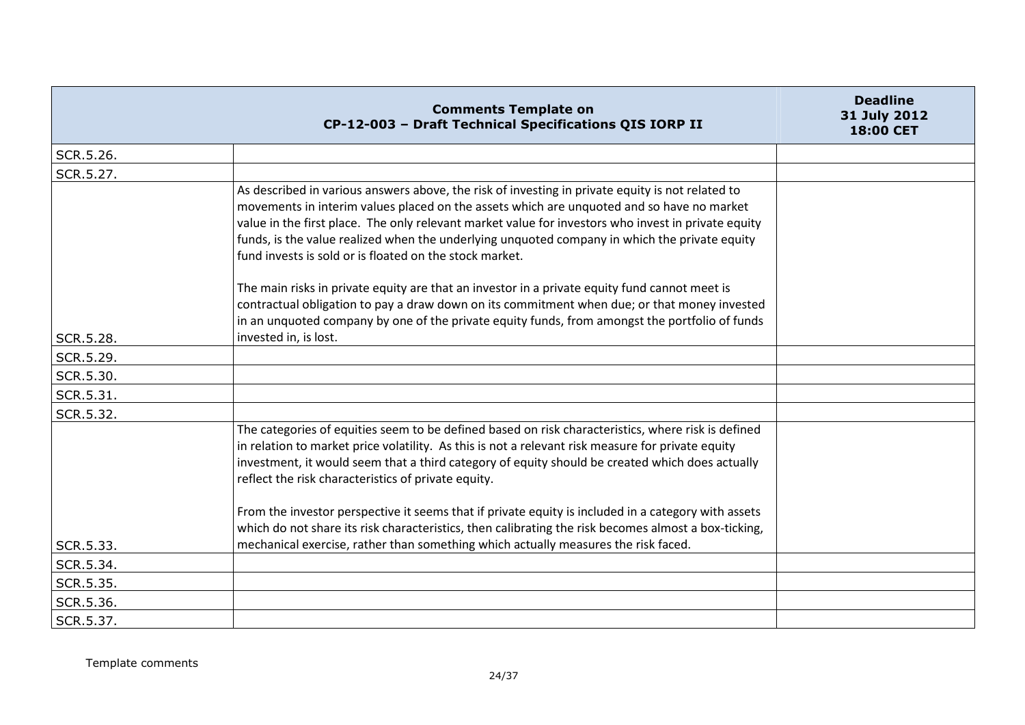|           | <b>Comments Template on</b><br>CP-12-003 - Draft Technical Specifications QIS IORP II                                                                                                                                                                                                                                                                                                                                                                            | <b>Deadline</b><br>31 July 2012<br>18:00 CET |
|-----------|------------------------------------------------------------------------------------------------------------------------------------------------------------------------------------------------------------------------------------------------------------------------------------------------------------------------------------------------------------------------------------------------------------------------------------------------------------------|----------------------------------------------|
| SCR.5.26. |                                                                                                                                                                                                                                                                                                                                                                                                                                                                  |                                              |
| SCR.5.27. |                                                                                                                                                                                                                                                                                                                                                                                                                                                                  |                                              |
|           | As described in various answers above, the risk of investing in private equity is not related to<br>movements in interim values placed on the assets which are unquoted and so have no market<br>value in the first place. The only relevant market value for investors who invest in private equity<br>funds, is the value realized when the underlying unquoted company in which the private equity<br>fund invests is sold or is floated on the stock market. |                                              |
|           | The main risks in private equity are that an investor in a private equity fund cannot meet is<br>contractual obligation to pay a draw down on its commitment when due; or that money invested<br>in an unquoted company by one of the private equity funds, from amongst the portfolio of funds                                                                                                                                                                  |                                              |
| SCR.5.28. | invested in, is lost.                                                                                                                                                                                                                                                                                                                                                                                                                                            |                                              |
| SCR.5.29. |                                                                                                                                                                                                                                                                                                                                                                                                                                                                  |                                              |
| SCR.5.30. |                                                                                                                                                                                                                                                                                                                                                                                                                                                                  |                                              |
| SCR.5.31. |                                                                                                                                                                                                                                                                                                                                                                                                                                                                  |                                              |
| SCR.5.32. |                                                                                                                                                                                                                                                                                                                                                                                                                                                                  |                                              |
|           | The categories of equities seem to be defined based on risk characteristics, where risk is defined<br>in relation to market price volatility. As this is not a relevant risk measure for private equity<br>investment, it would seem that a third category of equity should be created which does actually<br>reflect the risk characteristics of private equity.                                                                                                |                                              |
|           | From the investor perspective it seems that if private equity is included in a category with assets<br>which do not share its risk characteristics, then calibrating the risk becomes almost a box-ticking,                                                                                                                                                                                                                                                      |                                              |
| SCR.5.33. | mechanical exercise, rather than something which actually measures the risk faced.                                                                                                                                                                                                                                                                                                                                                                               |                                              |
| SCR.5.34. |                                                                                                                                                                                                                                                                                                                                                                                                                                                                  |                                              |
| SCR.5.35. |                                                                                                                                                                                                                                                                                                                                                                                                                                                                  |                                              |
| SCR.5.36. |                                                                                                                                                                                                                                                                                                                                                                                                                                                                  |                                              |
| SCR.5.37. |                                                                                                                                                                                                                                                                                                                                                                                                                                                                  |                                              |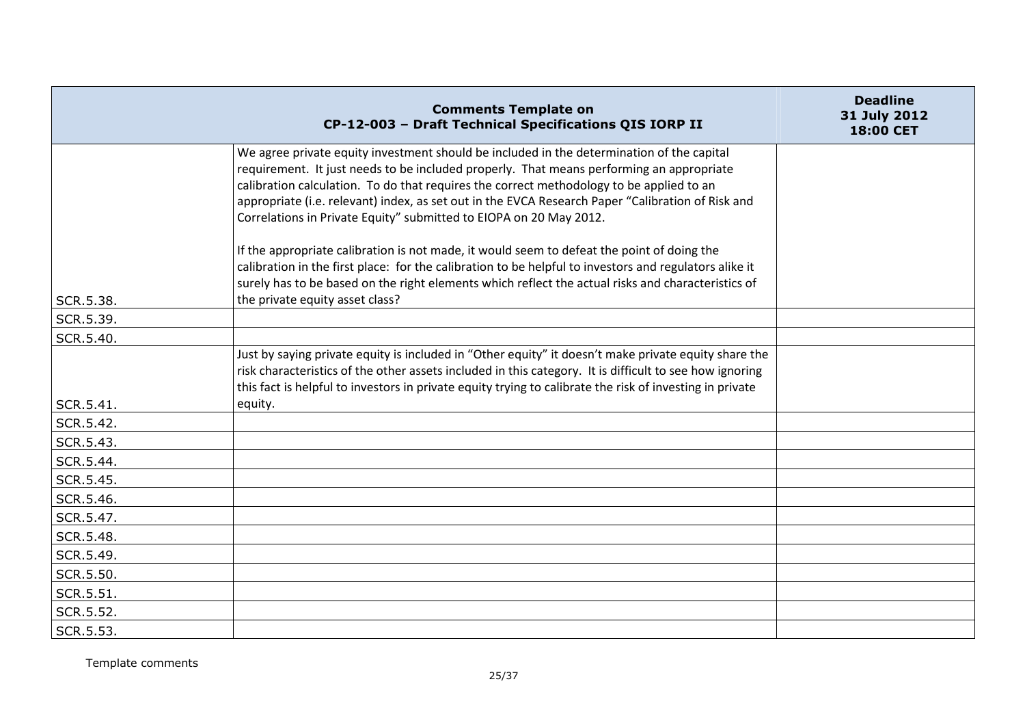|           | <b>Comments Template on</b><br>CP-12-003 - Draft Technical Specifications QIS IORP II                                                                                                                                                                                                                                                                                                                                                                        | <b>Deadline</b><br>31 July 2012<br>18:00 CET |
|-----------|--------------------------------------------------------------------------------------------------------------------------------------------------------------------------------------------------------------------------------------------------------------------------------------------------------------------------------------------------------------------------------------------------------------------------------------------------------------|----------------------------------------------|
|           | We agree private equity investment should be included in the determination of the capital<br>requirement. It just needs to be included properly. That means performing an appropriate<br>calibration calculation. To do that requires the correct methodology to be applied to an<br>appropriate (i.e. relevant) index, as set out in the EVCA Research Paper "Calibration of Risk and<br>Correlations in Private Equity" submitted to EIOPA on 20 May 2012. |                                              |
| SCR.5.38. | If the appropriate calibration is not made, it would seem to defeat the point of doing the<br>calibration in the first place: for the calibration to be helpful to investors and regulators alike it<br>surely has to be based on the right elements which reflect the actual risks and characteristics of<br>the private equity asset class?                                                                                                                |                                              |
| SCR.5.39. |                                                                                                                                                                                                                                                                                                                                                                                                                                                              |                                              |
| SCR.5.40. |                                                                                                                                                                                                                                                                                                                                                                                                                                                              |                                              |
|           | Just by saying private equity is included in "Other equity" it doesn't make private equity share the<br>risk characteristics of the other assets included in this category. It is difficult to see how ignoring<br>this fact is helpful to investors in private equity trying to calibrate the risk of investing in private                                                                                                                                  |                                              |
| SCR.5.41. | equity.                                                                                                                                                                                                                                                                                                                                                                                                                                                      |                                              |
| SCR.5.42. |                                                                                                                                                                                                                                                                                                                                                                                                                                                              |                                              |
| SCR.5.43. |                                                                                                                                                                                                                                                                                                                                                                                                                                                              |                                              |
| SCR.5.44. |                                                                                                                                                                                                                                                                                                                                                                                                                                                              |                                              |
| SCR.5.45. |                                                                                                                                                                                                                                                                                                                                                                                                                                                              |                                              |
| SCR.5.46. |                                                                                                                                                                                                                                                                                                                                                                                                                                                              |                                              |
| SCR.5.47. |                                                                                                                                                                                                                                                                                                                                                                                                                                                              |                                              |
| SCR.5.48. |                                                                                                                                                                                                                                                                                                                                                                                                                                                              |                                              |
| SCR.5.49. |                                                                                                                                                                                                                                                                                                                                                                                                                                                              |                                              |
| SCR.5.50. |                                                                                                                                                                                                                                                                                                                                                                                                                                                              |                                              |
| SCR.5.51. |                                                                                                                                                                                                                                                                                                                                                                                                                                                              |                                              |
| SCR.5.52. |                                                                                                                                                                                                                                                                                                                                                                                                                                                              |                                              |
| SCR.5.53. |                                                                                                                                                                                                                                                                                                                                                                                                                                                              |                                              |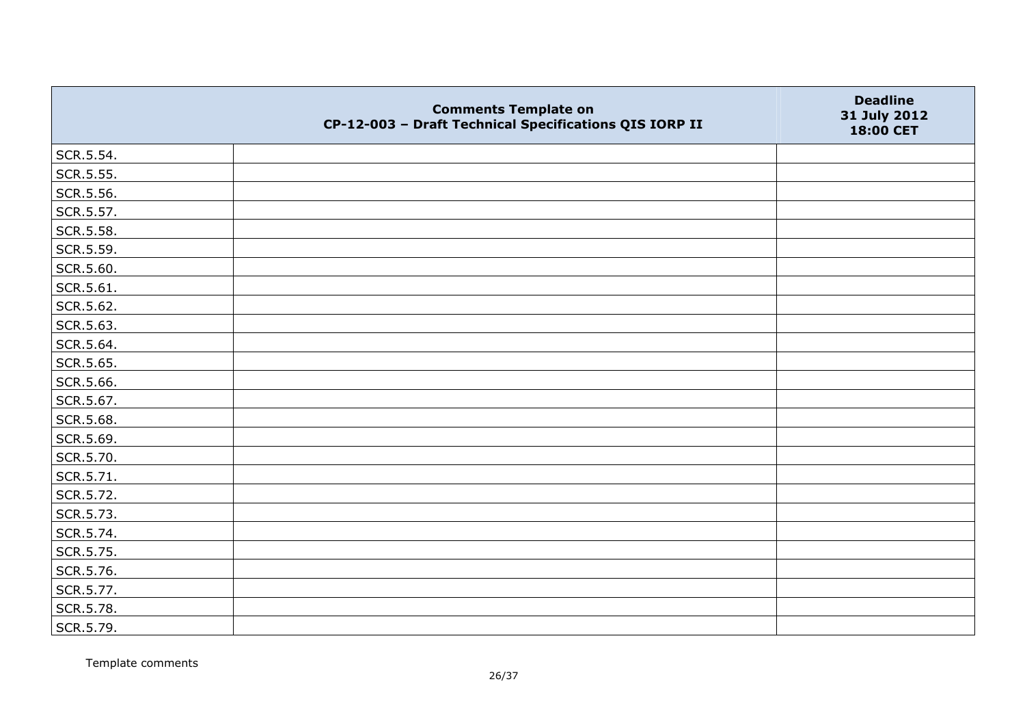|           | <b>Comments Template on</b><br>CP-12-003 - Draft Technical Specifications QIS IORP II | <b>Deadline</b><br>31 July 2012<br>18:00 CET |
|-----------|---------------------------------------------------------------------------------------|----------------------------------------------|
| SCR.5.54. |                                                                                       |                                              |
| SCR.5.55. |                                                                                       |                                              |
| SCR.5.56. |                                                                                       |                                              |
| SCR.5.57. |                                                                                       |                                              |
| SCR.5.58. |                                                                                       |                                              |
| SCR.5.59. |                                                                                       |                                              |
| SCR.5.60. |                                                                                       |                                              |
| SCR.5.61. |                                                                                       |                                              |
| SCR.5.62. |                                                                                       |                                              |
| SCR.5.63. |                                                                                       |                                              |
| SCR.5.64. |                                                                                       |                                              |
| SCR.5.65. |                                                                                       |                                              |
| SCR.5.66. |                                                                                       |                                              |
| SCR.5.67. |                                                                                       |                                              |
| SCR.5.68. |                                                                                       |                                              |
| SCR.5.69. |                                                                                       |                                              |
| SCR.5.70. |                                                                                       |                                              |
| SCR.5.71. |                                                                                       |                                              |
| SCR.5.72. |                                                                                       |                                              |
| SCR.5.73. |                                                                                       |                                              |
| SCR.5.74. |                                                                                       |                                              |
| SCR.5.75. |                                                                                       |                                              |
| SCR.5.76. |                                                                                       |                                              |
| SCR.5.77. |                                                                                       |                                              |
| SCR.5.78. |                                                                                       |                                              |
| SCR.5.79. |                                                                                       |                                              |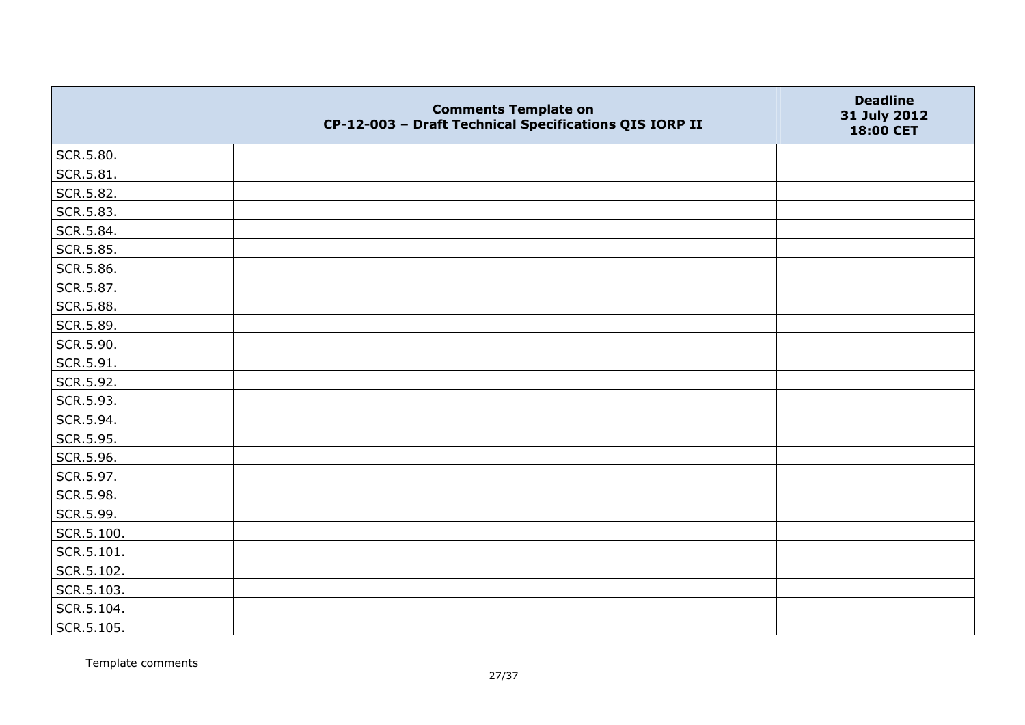|            | <b>Comments Template on</b><br>CP-12-003 - Draft Technical Specifications QIS IORP II | <b>Deadline</b><br>31 July 2012<br>18:00 CET |
|------------|---------------------------------------------------------------------------------------|----------------------------------------------|
| SCR.5.80.  |                                                                                       |                                              |
| SCR.5.81.  |                                                                                       |                                              |
| SCR.5.82.  |                                                                                       |                                              |
| SCR.5.83.  |                                                                                       |                                              |
| SCR.5.84.  |                                                                                       |                                              |
| SCR.5.85.  |                                                                                       |                                              |
| SCR.5.86.  |                                                                                       |                                              |
| SCR.5.87.  |                                                                                       |                                              |
| SCR.5.88.  |                                                                                       |                                              |
| SCR.5.89.  |                                                                                       |                                              |
| SCR.5.90.  |                                                                                       |                                              |
| SCR.5.91.  |                                                                                       |                                              |
| SCR.5.92.  |                                                                                       |                                              |
| SCR.5.93.  |                                                                                       |                                              |
| SCR.5.94.  |                                                                                       |                                              |
| SCR.5.95.  |                                                                                       |                                              |
| SCR.5.96.  |                                                                                       |                                              |
| SCR.5.97.  |                                                                                       |                                              |
| SCR.5.98.  |                                                                                       |                                              |
| SCR.5.99.  |                                                                                       |                                              |
| SCR.5.100. |                                                                                       |                                              |
| SCR.5.101. |                                                                                       |                                              |
| SCR.5.102. |                                                                                       |                                              |
| SCR.5.103. |                                                                                       |                                              |
| SCR.5.104. |                                                                                       |                                              |
| SCR.5.105. |                                                                                       |                                              |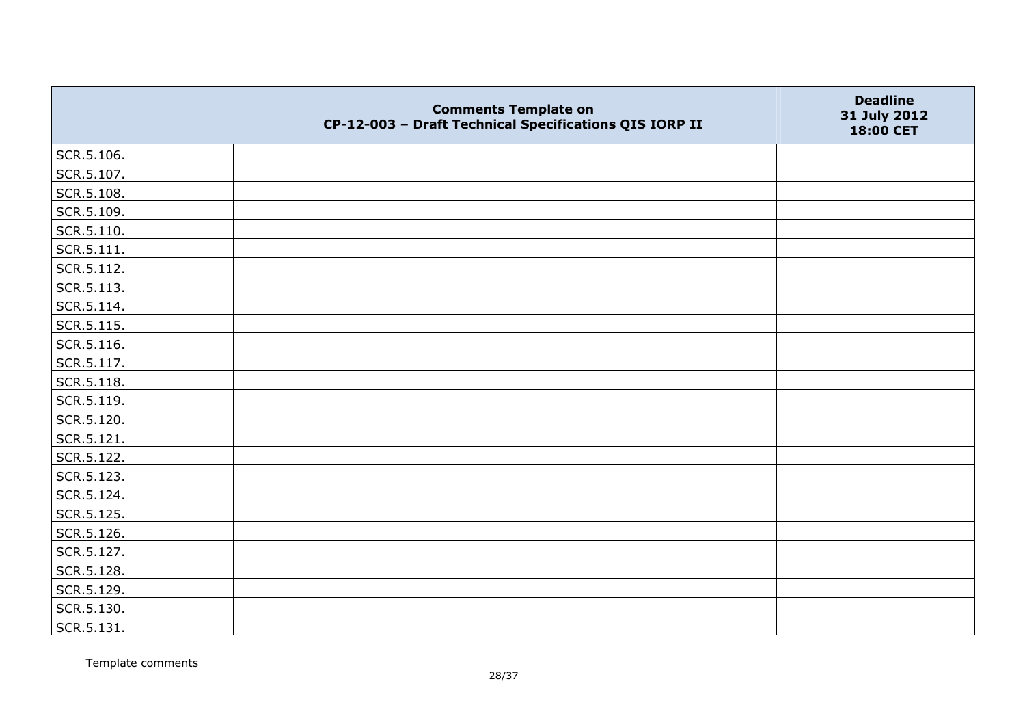|                    | <b>Comments Template on</b><br>CP-12-003 - Draft Technical Specifications QIS IORP II | <b>Deadline</b><br>31 July 2012<br>18:00 CET |
|--------------------|---------------------------------------------------------------------------------------|----------------------------------------------|
| SCR.5.106.         |                                                                                       |                                              |
| SCR.5.107.         |                                                                                       |                                              |
| SCR.5.108.         |                                                                                       |                                              |
| SCR.5.109.         |                                                                                       |                                              |
| SCR.5.110.         |                                                                                       |                                              |
| $\vert$ SCR.5.111. |                                                                                       |                                              |
| SCR.5.112.         |                                                                                       |                                              |
| SCR.5.113.         |                                                                                       |                                              |
| SCR.5.114.         |                                                                                       |                                              |
| SCR.5.115.         |                                                                                       |                                              |
| SCR.5.116.         |                                                                                       |                                              |
| SCR.5.117.         |                                                                                       |                                              |
| SCR.5.118.         |                                                                                       |                                              |
| SCR.5.119.         |                                                                                       |                                              |
| SCR.5.120.         |                                                                                       |                                              |
| SCR.5.121.         |                                                                                       |                                              |
| SCR.5.122.         |                                                                                       |                                              |
| SCR.5.123.         |                                                                                       |                                              |
| SCR.5.124.         |                                                                                       |                                              |
| SCR.5.125.         |                                                                                       |                                              |
| SCR.5.126.         |                                                                                       |                                              |
| SCR.5.127.         |                                                                                       |                                              |
| SCR.5.128.         |                                                                                       |                                              |
| SCR.5.129.         |                                                                                       |                                              |
| SCR.5.130.         |                                                                                       |                                              |
| SCR.5.131.         |                                                                                       |                                              |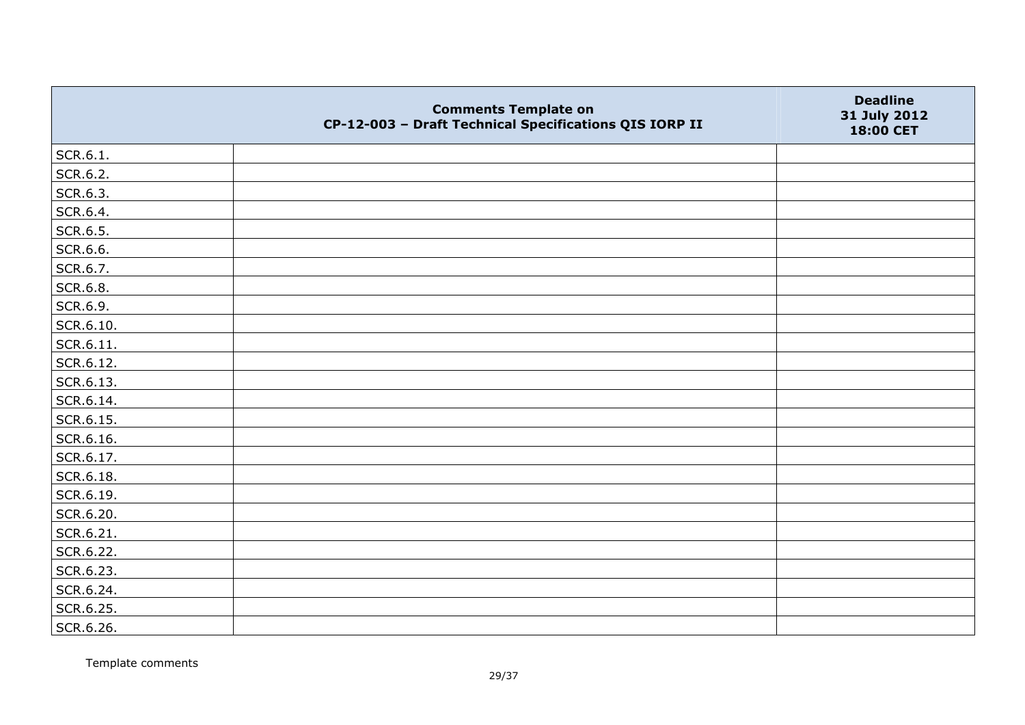|                   | <b>Comments Template on</b><br>CP-12-003 - Draft Technical Specifications QIS IORP II | <b>Deadline</b><br>31 July 2012<br>18:00 CET |
|-------------------|---------------------------------------------------------------------------------------|----------------------------------------------|
| SCR.6.1.          |                                                                                       |                                              |
| SCR.6.2.          |                                                                                       |                                              |
| SCR.6.3.          |                                                                                       |                                              |
| SCR.6.4.          |                                                                                       |                                              |
| SCR.6.5.          |                                                                                       |                                              |
| SCR.6.6.          |                                                                                       |                                              |
| SCR.6.7.          |                                                                                       |                                              |
| SCR.6.8.          |                                                                                       |                                              |
| SCR.6.9.          |                                                                                       |                                              |
| SCR.6.10.         |                                                                                       |                                              |
| $\vert$ SCR.6.11. |                                                                                       |                                              |
| SCR.6.12.         |                                                                                       |                                              |
| SCR.6.13.         |                                                                                       |                                              |
| SCR.6.14.         |                                                                                       |                                              |
| SCR.6.15.         |                                                                                       |                                              |
| SCR.6.16.         |                                                                                       |                                              |
| SCR.6.17.         |                                                                                       |                                              |
| SCR.6.18.         |                                                                                       |                                              |
| SCR.6.19.         |                                                                                       |                                              |
| SCR.6.20.         |                                                                                       |                                              |
| SCR.6.21.         |                                                                                       |                                              |
| SCR.6.22.         |                                                                                       |                                              |
| SCR.6.23.         |                                                                                       |                                              |
| SCR.6.24.         |                                                                                       |                                              |
| SCR.6.25.         |                                                                                       |                                              |
| SCR.6.26.         |                                                                                       |                                              |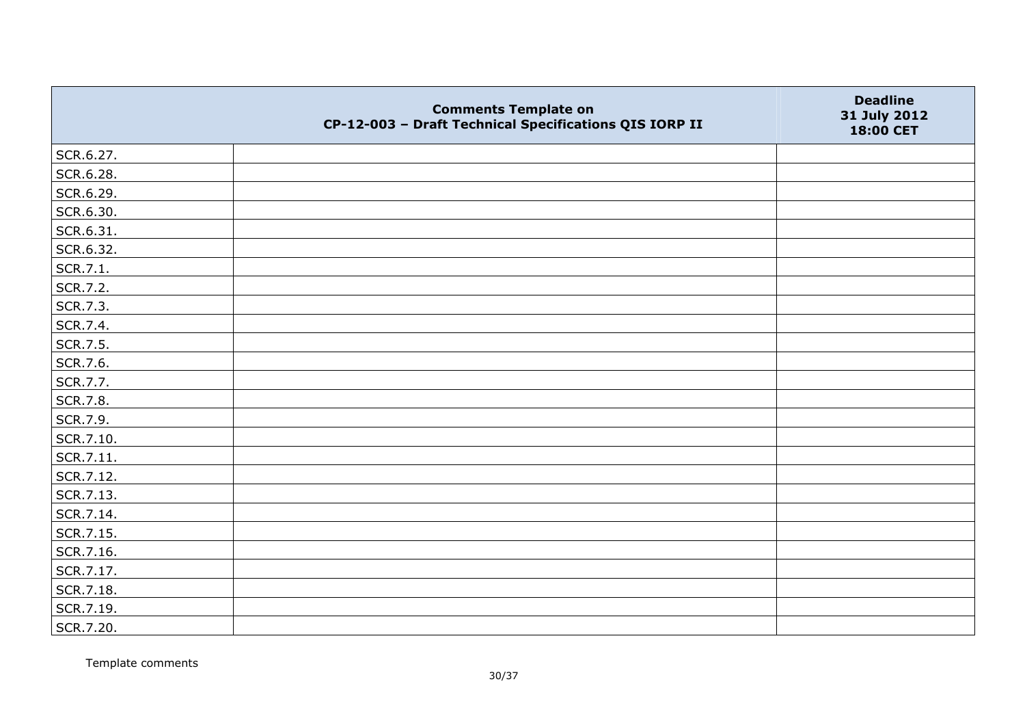|           | <b>Comments Template on</b><br>CP-12-003 - Draft Technical Specifications QIS IORP II | <b>Deadline</b><br>31 July 2012<br>18:00 CET |
|-----------|---------------------------------------------------------------------------------------|----------------------------------------------|
| SCR.6.27. |                                                                                       |                                              |
| SCR.6.28. |                                                                                       |                                              |
| SCR.6.29. |                                                                                       |                                              |
| SCR.6.30. |                                                                                       |                                              |
| SCR.6.31. |                                                                                       |                                              |
| SCR.6.32. |                                                                                       |                                              |
| SCR.7.1.  |                                                                                       |                                              |
| SCR.7.2.  |                                                                                       |                                              |
| SCR.7.3.  |                                                                                       |                                              |
| SCR.7.4.  |                                                                                       |                                              |
| SCR.7.5.  |                                                                                       |                                              |
| SCR.7.6.  |                                                                                       |                                              |
| SCR.7.7.  |                                                                                       |                                              |
| SCR.7.8.  |                                                                                       |                                              |
| SCR.7.9.  |                                                                                       |                                              |
| SCR.7.10. |                                                                                       |                                              |
| SCR.7.11. |                                                                                       |                                              |
| SCR.7.12. |                                                                                       |                                              |
| SCR.7.13. |                                                                                       |                                              |
| SCR.7.14. |                                                                                       |                                              |
| SCR.7.15. |                                                                                       |                                              |
| SCR.7.16. |                                                                                       |                                              |
| SCR.7.17. |                                                                                       |                                              |
| SCR.7.18. |                                                                                       |                                              |
| SCR.7.19. |                                                                                       |                                              |
| SCR.7.20. |                                                                                       |                                              |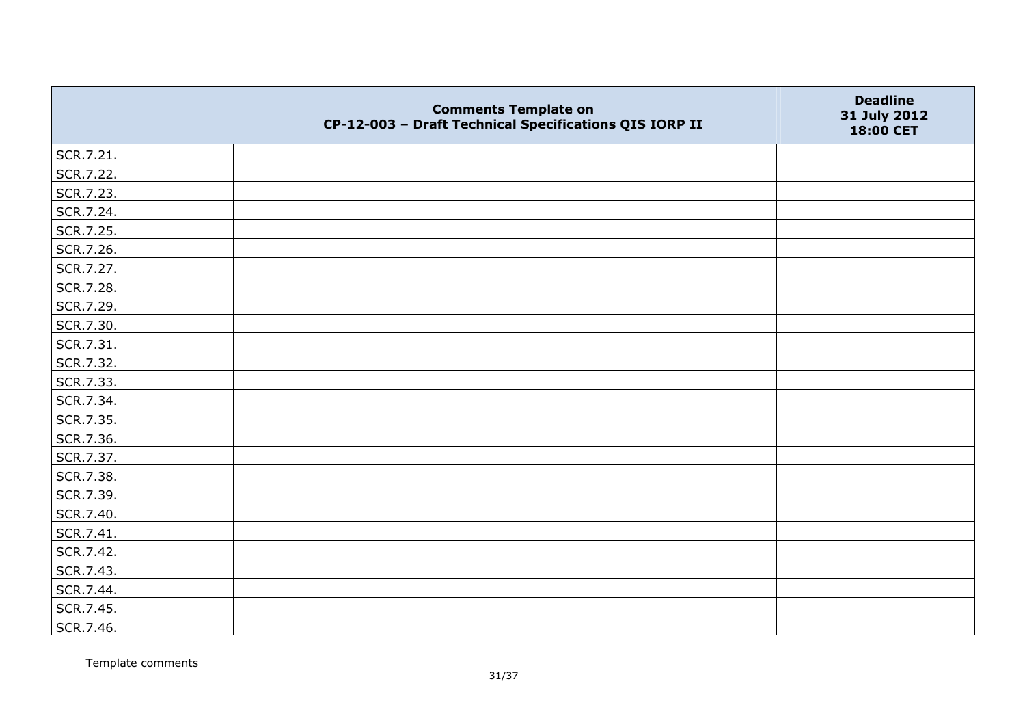|           | <b>Comments Template on</b><br>CP-12-003 - Draft Technical Specifications QIS IORP II | <b>Deadline</b><br>31 July 2012<br>18:00 CET |
|-----------|---------------------------------------------------------------------------------------|----------------------------------------------|
| SCR.7.21. |                                                                                       |                                              |
| SCR.7.22. |                                                                                       |                                              |
| SCR.7.23. |                                                                                       |                                              |
| SCR.7.24. |                                                                                       |                                              |
| SCR.7.25. |                                                                                       |                                              |
| SCR.7.26. |                                                                                       |                                              |
| SCR.7.27. |                                                                                       |                                              |
| SCR.7.28. |                                                                                       |                                              |
| SCR.7.29. |                                                                                       |                                              |
| SCR.7.30. |                                                                                       |                                              |
| SCR.7.31. |                                                                                       |                                              |
| SCR.7.32. |                                                                                       |                                              |
| SCR.7.33. |                                                                                       |                                              |
| SCR.7.34. |                                                                                       |                                              |
| SCR.7.35. |                                                                                       |                                              |
| SCR.7.36. |                                                                                       |                                              |
| SCR.7.37. |                                                                                       |                                              |
| SCR.7.38. |                                                                                       |                                              |
| SCR.7.39. |                                                                                       |                                              |
| SCR.7.40. |                                                                                       |                                              |
| SCR.7.41. |                                                                                       |                                              |
| SCR.7.42. |                                                                                       |                                              |
| SCR.7.43. |                                                                                       |                                              |
| SCR.7.44. |                                                                                       |                                              |
| SCR.7.45. |                                                                                       |                                              |
| SCR.7.46. |                                                                                       |                                              |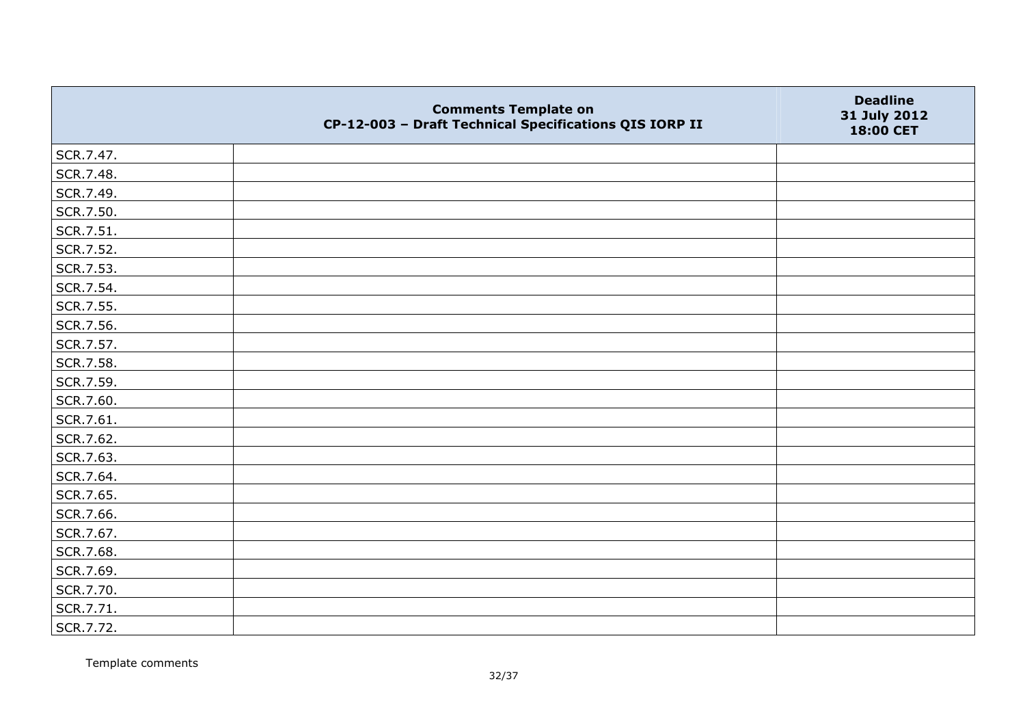|           | <b>Comments Template on</b><br>CP-12-003 - Draft Technical Specifications QIS IORP II | <b>Deadline</b><br>31 July 2012<br>18:00 CET |
|-----------|---------------------------------------------------------------------------------------|----------------------------------------------|
| SCR.7.47. |                                                                                       |                                              |
| SCR.7.48. |                                                                                       |                                              |
| SCR.7.49. |                                                                                       |                                              |
| SCR.7.50. |                                                                                       |                                              |
| SCR.7.51. |                                                                                       |                                              |
| SCR.7.52. |                                                                                       |                                              |
| SCR.7.53. |                                                                                       |                                              |
| SCR.7.54. |                                                                                       |                                              |
| SCR.7.55. |                                                                                       |                                              |
| SCR.7.56. |                                                                                       |                                              |
| SCR.7.57. |                                                                                       |                                              |
| SCR.7.58. |                                                                                       |                                              |
| SCR.7.59. |                                                                                       |                                              |
| SCR.7.60. |                                                                                       |                                              |
| SCR.7.61. |                                                                                       |                                              |
| SCR.7.62. |                                                                                       |                                              |
| SCR.7.63. |                                                                                       |                                              |
| SCR.7.64. |                                                                                       |                                              |
| SCR.7.65. |                                                                                       |                                              |
| SCR.7.66. |                                                                                       |                                              |
| SCR.7.67. |                                                                                       |                                              |
| SCR.7.68. |                                                                                       |                                              |
| SCR.7.69. |                                                                                       |                                              |
| SCR.7.70. |                                                                                       |                                              |
| SCR.7.71. |                                                                                       |                                              |
| SCR.7.72. |                                                                                       |                                              |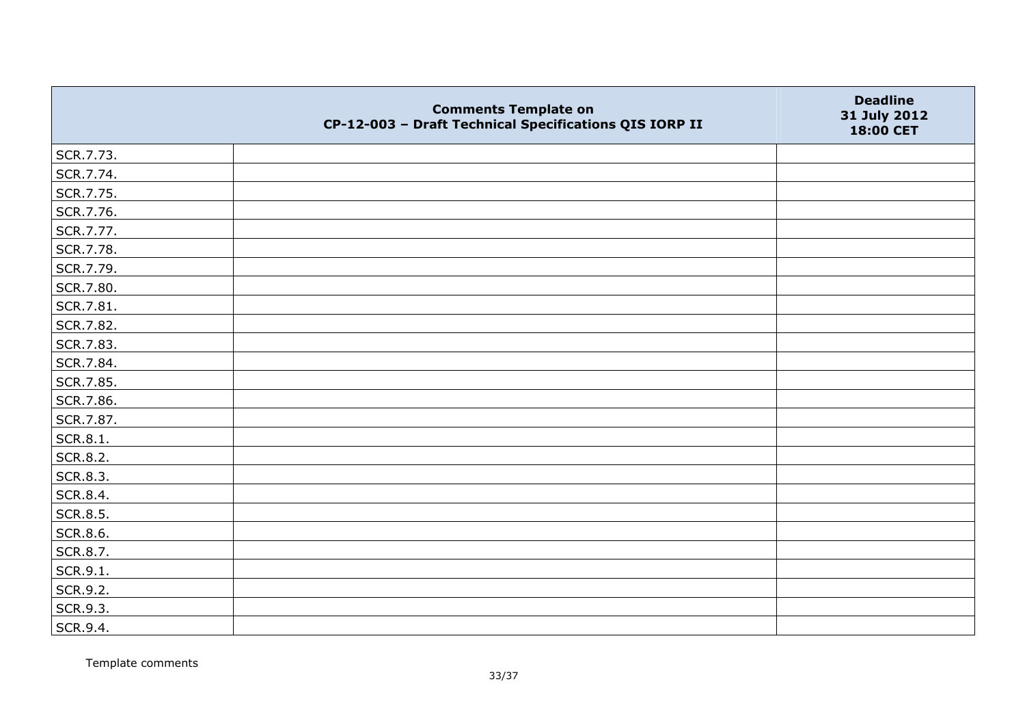|           | <b>Comments Template on</b><br>CP-12-003 - Draft Technical Specifications QIS IORP II | <b>Deadline</b><br>31 July 2012<br>18:00 CET |
|-----------|---------------------------------------------------------------------------------------|----------------------------------------------|
| SCR.7.73. |                                                                                       |                                              |
| SCR.7.74. |                                                                                       |                                              |
| SCR.7.75. |                                                                                       |                                              |
| SCR.7.76. |                                                                                       |                                              |
| SCR.7.77. |                                                                                       |                                              |
| SCR.7.78. |                                                                                       |                                              |
| SCR.7.79. |                                                                                       |                                              |
| SCR.7.80. |                                                                                       |                                              |
| SCR.7.81. |                                                                                       |                                              |
| SCR.7.82. |                                                                                       |                                              |
| SCR.7.83. |                                                                                       |                                              |
| SCR.7.84. |                                                                                       |                                              |
| SCR.7.85. |                                                                                       |                                              |
| SCR.7.86. |                                                                                       |                                              |
| SCR.7.87. |                                                                                       |                                              |
| SCR.8.1.  |                                                                                       |                                              |
| SCR.8.2.  |                                                                                       |                                              |
| SCR.8.3.  |                                                                                       |                                              |
| SCR.8.4.  |                                                                                       |                                              |
| SCR.8.5.  |                                                                                       |                                              |
| SCR.8.6.  |                                                                                       |                                              |
| SCR.8.7.  |                                                                                       |                                              |
| SCR.9.1.  |                                                                                       |                                              |
| SCR.9.2.  |                                                                                       |                                              |
| SCR.9.3.  |                                                                                       |                                              |
| SCR.9.4.  |                                                                                       |                                              |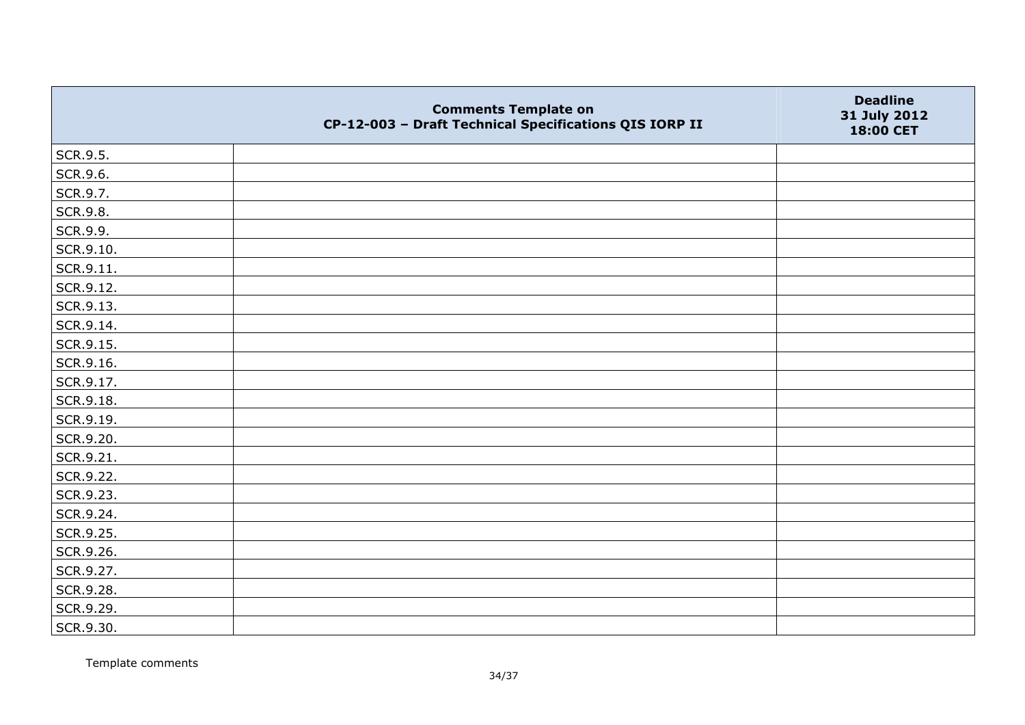|                 | <b>Comments Template on</b><br>CP-12-003 - Draft Technical Specifications QIS IORP II | <b>Deadline</b><br>31 July 2012<br>18:00 CET |
|-----------------|---------------------------------------------------------------------------------------|----------------------------------------------|
| SCR.9.5.        |                                                                                       |                                              |
| SCR.9.6.        |                                                                                       |                                              |
| SCR.9.7.        |                                                                                       |                                              |
| <b>SCR.9.8.</b> |                                                                                       |                                              |
| SCR.9.9.        |                                                                                       |                                              |
| SCR.9.10.       |                                                                                       |                                              |
| SCR.9.11.       |                                                                                       |                                              |
| SCR.9.12.       |                                                                                       |                                              |
| SCR.9.13.       |                                                                                       |                                              |
| SCR.9.14.       |                                                                                       |                                              |
| SCR.9.15.       |                                                                                       |                                              |
| SCR.9.16.       |                                                                                       |                                              |
| SCR.9.17.       |                                                                                       |                                              |
| SCR.9.18.       |                                                                                       |                                              |
| SCR.9.19.       |                                                                                       |                                              |
| SCR.9.20.       |                                                                                       |                                              |
| SCR.9.21.       |                                                                                       |                                              |
| SCR.9.22.       |                                                                                       |                                              |
| SCR.9.23.       |                                                                                       |                                              |
| SCR.9.24.       |                                                                                       |                                              |
| SCR.9.25.       |                                                                                       |                                              |
| SCR.9.26.       |                                                                                       |                                              |
| SCR.9.27.       |                                                                                       |                                              |
| SCR.9.28.       |                                                                                       |                                              |
| SCR.9.29.       |                                                                                       |                                              |
| SCR.9.30.       |                                                                                       |                                              |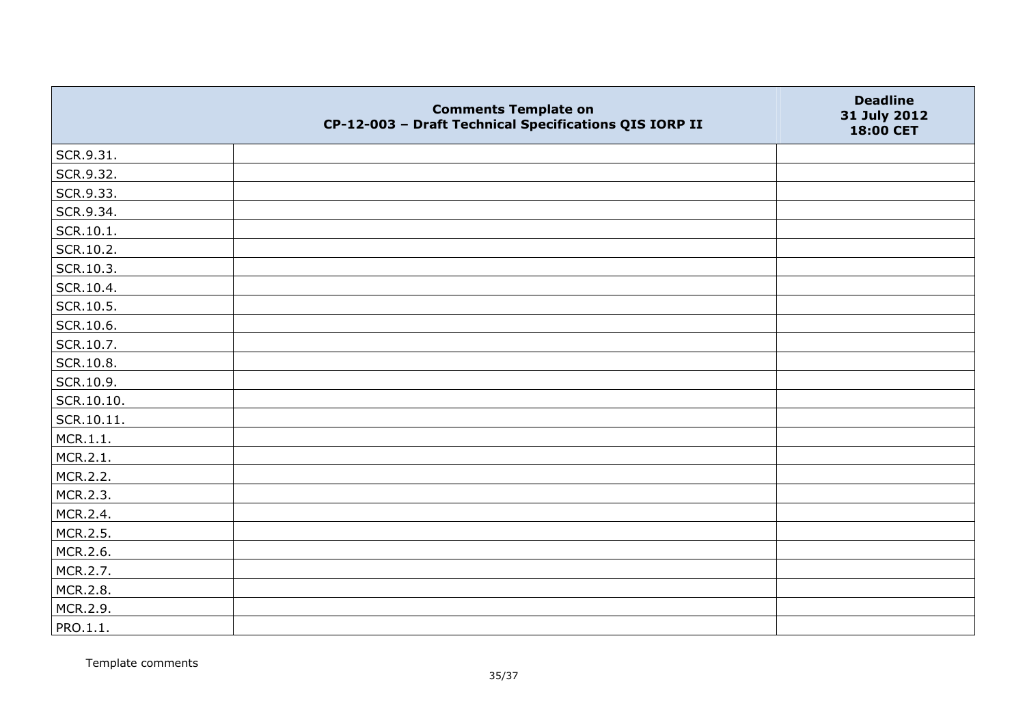|            | <b>Comments Template on</b><br>CP-12-003 - Draft Technical Specifications QIS IORP II | <b>Deadline</b><br>31 July 2012<br>18:00 CET |
|------------|---------------------------------------------------------------------------------------|----------------------------------------------|
| SCR.9.31.  |                                                                                       |                                              |
| SCR.9.32.  |                                                                                       |                                              |
| SCR.9.33.  |                                                                                       |                                              |
| SCR.9.34.  |                                                                                       |                                              |
| SCR.10.1.  |                                                                                       |                                              |
| SCR.10.2.  |                                                                                       |                                              |
| SCR.10.3.  |                                                                                       |                                              |
| SCR.10.4.  |                                                                                       |                                              |
| SCR.10.5.  |                                                                                       |                                              |
| SCR.10.6.  |                                                                                       |                                              |
| SCR.10.7.  |                                                                                       |                                              |
| SCR.10.8.  |                                                                                       |                                              |
| SCR.10.9.  |                                                                                       |                                              |
| SCR.10.10. |                                                                                       |                                              |
| SCR.10.11. |                                                                                       |                                              |
| MCR.1.1.   |                                                                                       |                                              |
| MCR.2.1.   |                                                                                       |                                              |
| MCR.2.2.   |                                                                                       |                                              |
| MCR.2.3.   |                                                                                       |                                              |
| MCR.2.4.   |                                                                                       |                                              |
| MCR.2.5.   |                                                                                       |                                              |
| MCR.2.6.   |                                                                                       |                                              |
| MCR.2.7.   |                                                                                       |                                              |
| MCR.2.8.   |                                                                                       |                                              |
| MCR.2.9.   |                                                                                       |                                              |
| PRO.1.1.   |                                                                                       |                                              |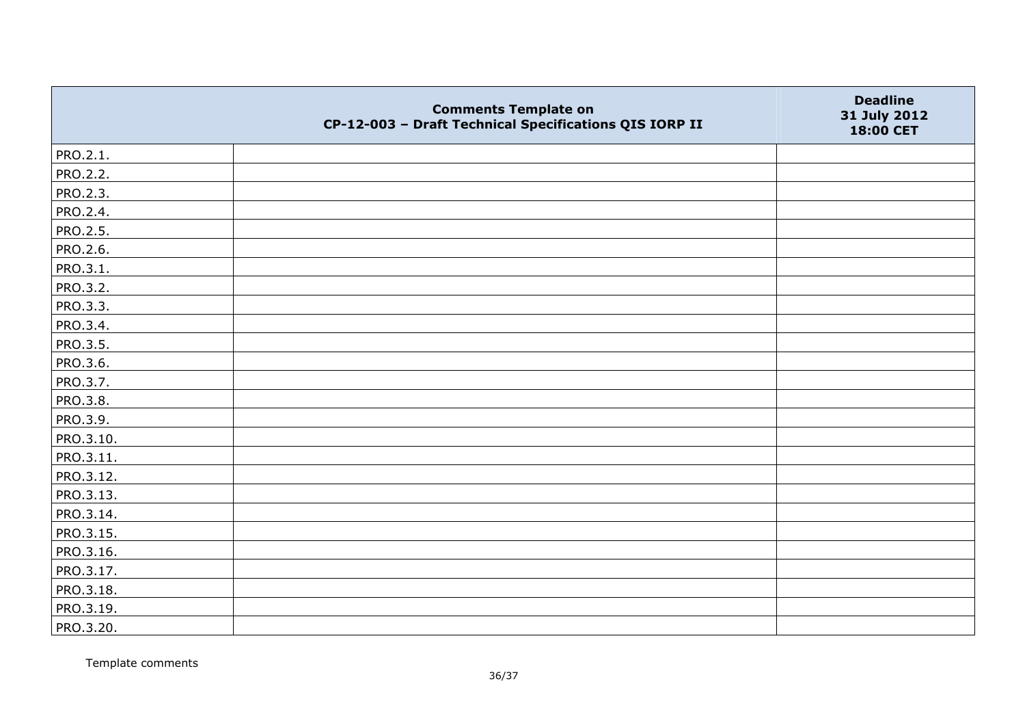|                 | <b>Comments Template on</b><br>CP-12-003 - Draft Technical Specifications QIS IORP II | <b>Deadline</b><br>31 July 2012<br>18:00 CET |
|-----------------|---------------------------------------------------------------------------------------|----------------------------------------------|
| PRO.2.1.        |                                                                                       |                                              |
| <b>PRO.2.2.</b> |                                                                                       |                                              |
| PRO.2.3.        |                                                                                       |                                              |
| PRO.2.4.        |                                                                                       |                                              |
| PRO.2.5.        |                                                                                       |                                              |
| <b>PRO.2.6.</b> |                                                                                       |                                              |
| PRO.3.1.        |                                                                                       |                                              |
| <b>PRO.3.2.</b> |                                                                                       |                                              |
| PRO.3.3.        |                                                                                       |                                              |
| PRO.3.4.        |                                                                                       |                                              |
| <b>PRO.3.5.</b> |                                                                                       |                                              |
| PRO.3.6.        |                                                                                       |                                              |
| PRO.3.7.        |                                                                                       |                                              |
| PRO.3.8.        |                                                                                       |                                              |
| PRO.3.9.        |                                                                                       |                                              |
| PRO.3.10.       |                                                                                       |                                              |
| PRO.3.11.       |                                                                                       |                                              |
| PRO.3.12.       |                                                                                       |                                              |
| PRO.3.13.       |                                                                                       |                                              |
| PRO.3.14.       |                                                                                       |                                              |
| PRO.3.15.       |                                                                                       |                                              |
| PRO.3.16.       |                                                                                       |                                              |
| PRO.3.17.       |                                                                                       |                                              |
| PRO.3.18.       |                                                                                       |                                              |
| PRO.3.19.       |                                                                                       |                                              |
| PRO.3.20.       |                                                                                       |                                              |